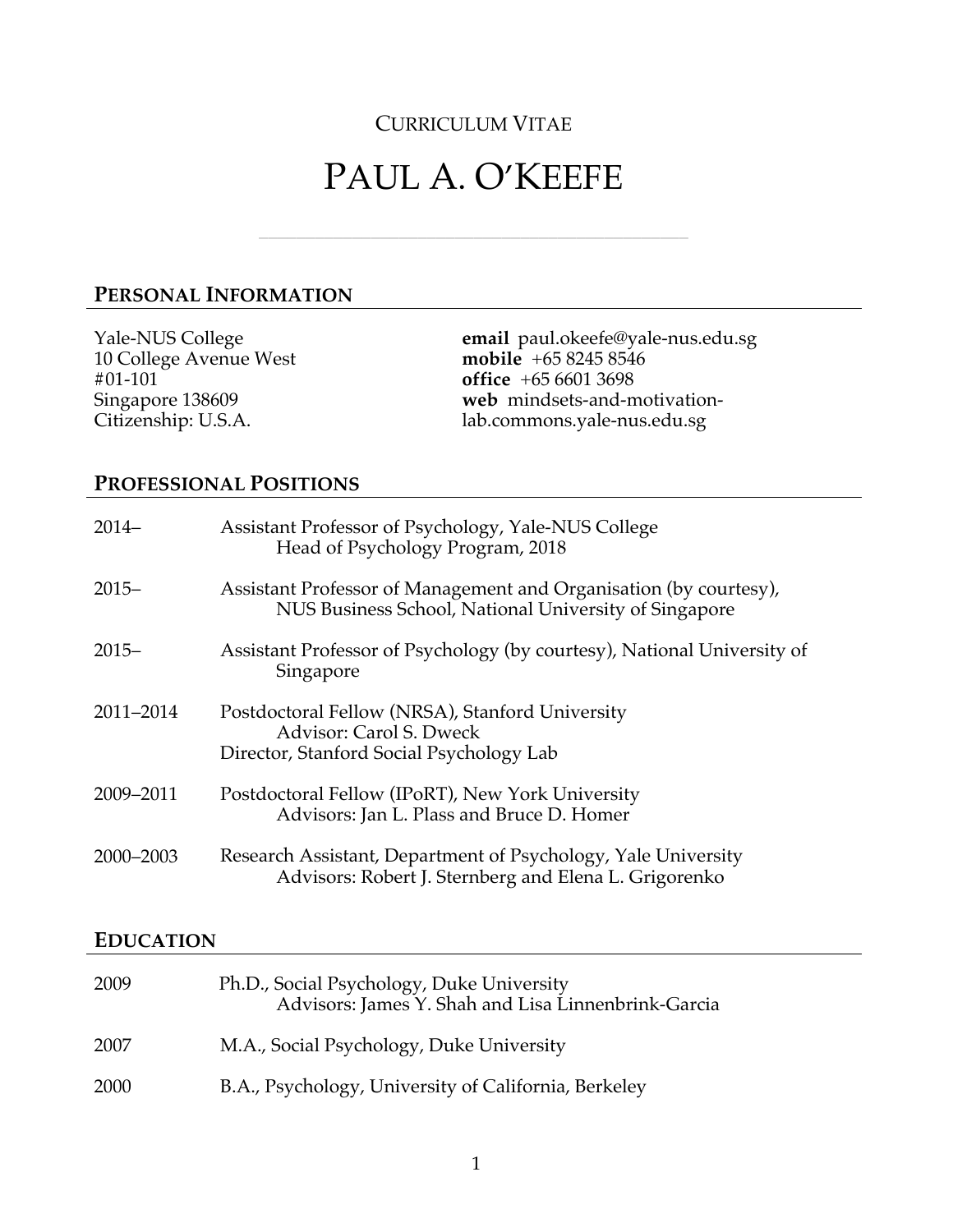# CURRICULUM VITAE

# PAUL A. O'KEEFE

\_\_\_\_\_\_\_\_\_\_\_\_\_\_\_\_\_\_\_\_\_\_\_\_\_\_\_\_\_\_\_\_\_\_\_\_\_\_\_\_\_\_\_\_\_\_

# **PERSONAL INFORMATION**

Yale-NUS College 10 College Avenue West #01-101 Singapore 138609 Citizenship: U.S.A. **email** paul.okeefe@yale-nus.edu.sg **mobile** +65 8245 8546 **office** +65 6601 3698 **web** mindsets-and-motivationlab.commons.yale-nus.edu.sg

# **PROFESSIONAL POSITIONS**

| $2014-$   | Assistant Professor of Psychology, Yale-NUS College<br>Head of Psychology Program, 2018                                    |
|-----------|----------------------------------------------------------------------------------------------------------------------------|
| $2015 -$  | Assistant Professor of Management and Organisation (by courtesy),<br>NUS Business School, National University of Singapore |
| $2015 -$  | Assistant Professor of Psychology (by courtesy), National University of<br>Singapore                                       |
| 2011-2014 | Postdoctoral Fellow (NRSA), Stanford University<br>Advisor: Carol S. Dweck<br>Director, Stanford Social Psychology Lab     |
| 2009-2011 | Postdoctoral Fellow (IPoRT), New York University<br>Advisors: Jan L. Plass and Bruce D. Homer                              |
| 2000-2003 | Research Assistant, Department of Psychology, Yale University<br>Advisors: Robert J. Sternberg and Elena L. Grigorenko     |

#### **EDUCATION**

| 2009 | Ph.D., Social Psychology, Duke University<br>Advisors: James Y. Shah and Lisa Linnenbrink-Garcia |
|------|--------------------------------------------------------------------------------------------------|
| 2007 | M.A., Social Psychology, Duke University                                                         |
| 2000 | B.A., Psychology, University of California, Berkeley                                             |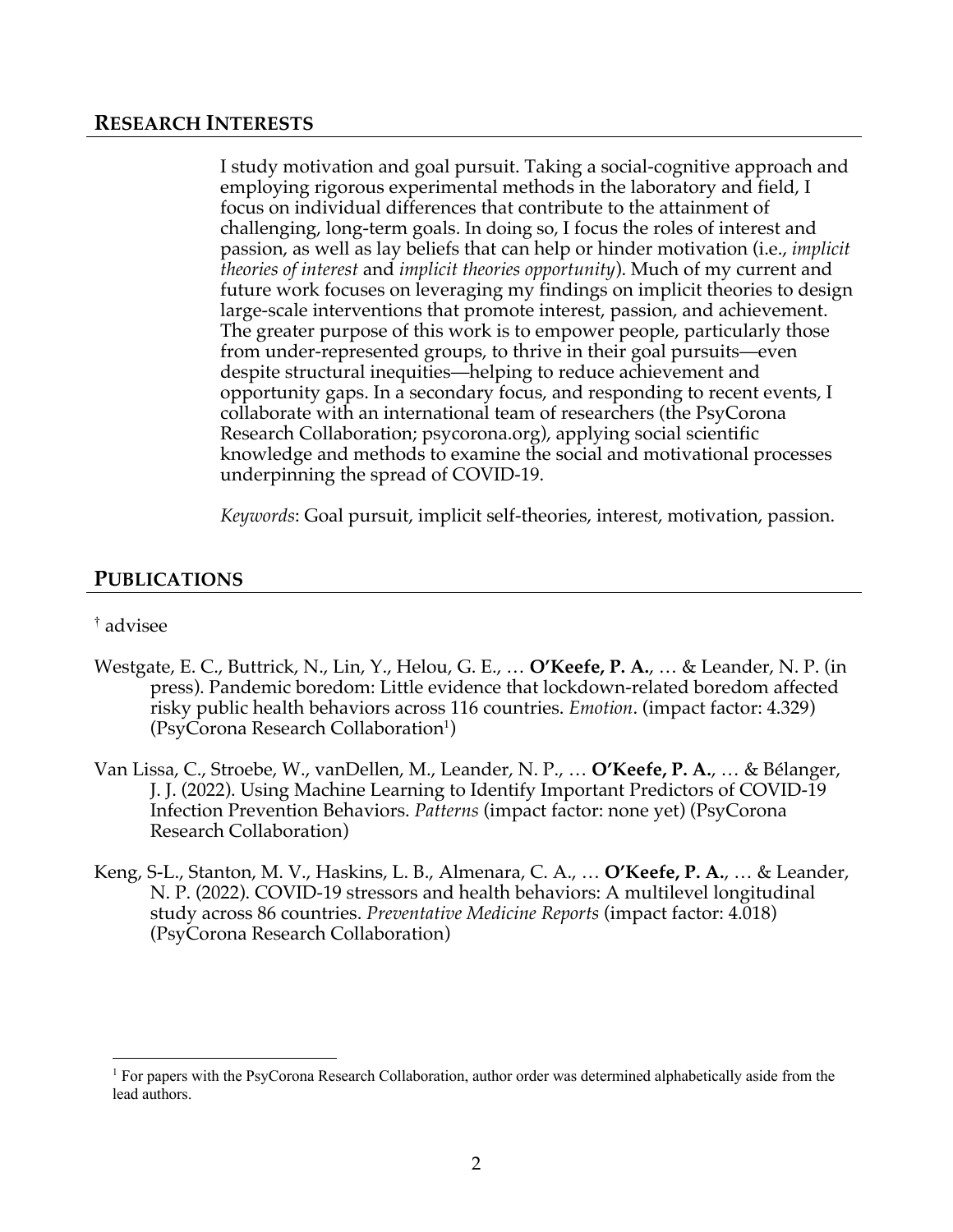#### **RESEARCH INTERESTS**

I study motivation and goal pursuit. Taking a social-cognitive approach and employing rigorous experimental methods in the laboratory and field, I focus on individual differences that contribute to the attainment of challenging, long-term goals. In doing so, I focus the roles of interest and passion, as well as lay beliefs that can help or hinder motivation (i.e., *implicit theories of interest* and *implicit theories opportunity*). Much of my current and future work focuses on leveraging my findings on implicit theories to design large-scale interventions that promote interest, passion, and achievement. The greater purpose of this work is to empower people, particularly those from under-represented groups, to thrive in their goal pursuits—even despite structural inequities—helping to reduce achievement and opportunity gaps. In a secondary focus, and responding to recent events, I collaborate with an international team of researchers (the PsyCorona Research Collaboration; psycorona.org), applying social scientific knowledge and methods to examine the social and motivational processes underpinning the spread of COVID-19.

*Keywords*: Goal pursuit, implicit self-theories, interest, motivation, passion.

#### **PUBLICATIONS**

#### † advisee

- Westgate, E. C., Buttrick, N., Lin, Y., Helou, G. E., … **O'Keefe, P. A.**, … & Leander, N. P. (in press). Pandemic boredom: Little evidence that lockdown-related boredom affected risky public health behaviors across 116 countries. *Emotion*. (impact factor: 4.329) (PsyCorona Research Collaboration<sup>1</sup>)
- Van Lissa, C., Stroebe, W., vanDellen, M., Leander, N. P., … **O'Keefe, P. A.**, … & Bélanger, J. J. (2022). Using Machine Learning to Identify Important Predictors of COVID-19 Infection Prevention Behaviors. *Patterns* (impact factor: none yet) (PsyCorona Research Collaboration)
- Keng, S-L., Stanton, M. V., Haskins, L. B., Almenara, C. A., … **O'Keefe, P. A.**, … & Leander, N. P. (2022). COVID-19 stressors and health behaviors: A multilevel longitudinal study across 86 countries. *Preventative Medicine Reports* (impact factor: 4.018) (PsyCorona Research Collaboration)

<sup>&</sup>lt;sup>1</sup> For papers with the PsyCorona Research Collaboration, author order was determined alphabetically aside from the lead authors.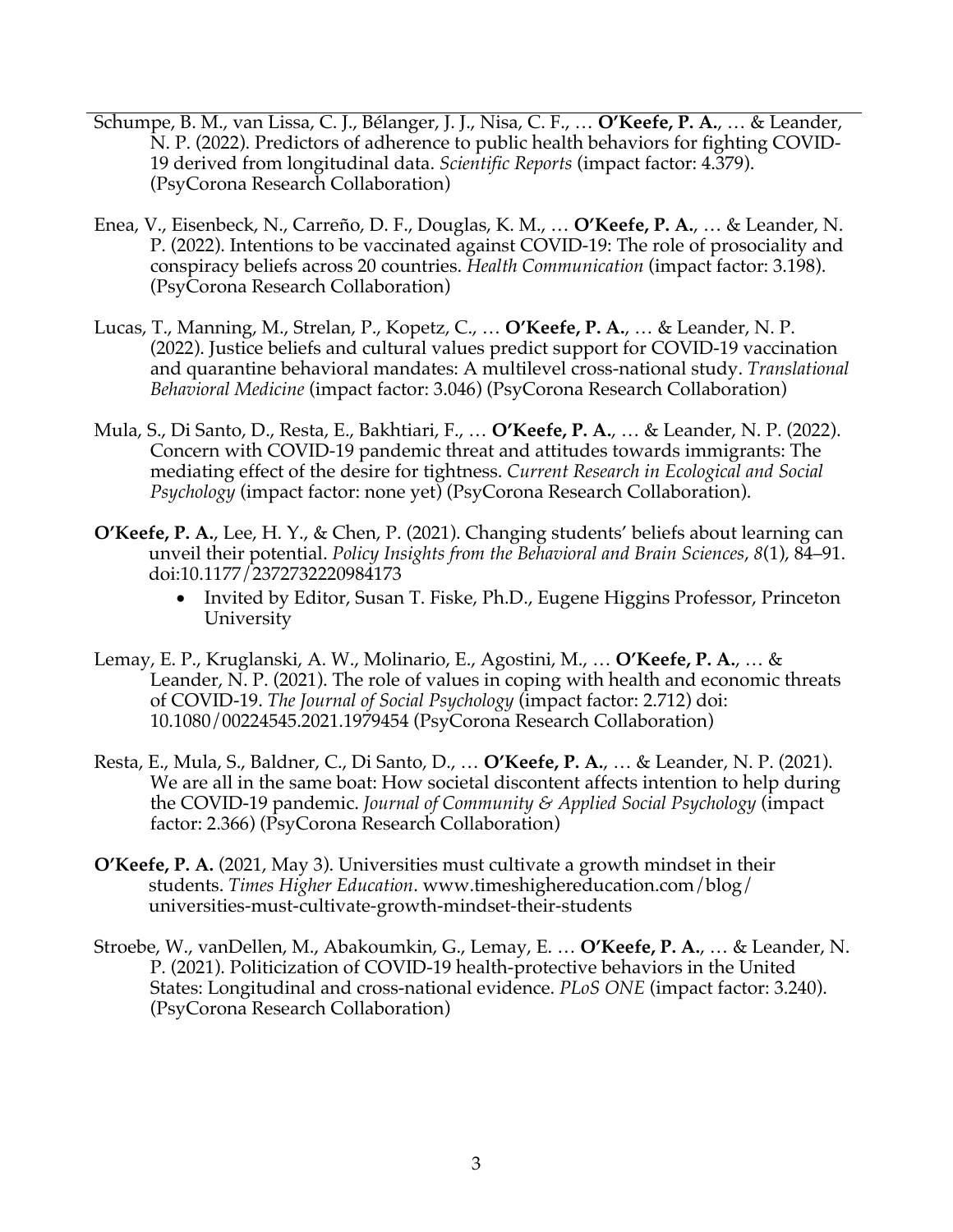- Schumpe, B. M., van Lissa, C. J., Bélanger, J. J., Nisa, C. F., … **O'Keefe, P. A.**, … & Leander, N. P. (2022). Predictors of adherence to public health behaviors for fighting COVID-19 derived from longitudinal data. *Scientific Reports* (impact factor: 4.379). (PsyCorona Research Collaboration)
- Enea, V., Eisenbeck, N., Carreño, D. F., Douglas, K. M., … **O'Keefe, P. A.**, … & Leander, N. P. (2022). Intentions to be vaccinated against COVID-19: The role of prosociality and conspiracy beliefs across 20 countries. *Health Communication* (impact factor: 3.198). (PsyCorona Research Collaboration)
- Lucas, T., Manning, M., Strelan, P., Kopetz, C., … **O'Keefe, P. A.**, … & Leander, N. P. (2022). Justice beliefs and cultural values predict support for COVID-19 vaccination and quarantine behavioral mandates: A multilevel cross-national study. *Translational Behavioral Medicine* (impact factor: 3.046) (PsyCorona Research Collaboration)
- Mula, S., Di Santo, D., Resta, E., Bakhtiari, F., … **O'Keefe, P. A.**, … & Leander, N. P. (2022). Concern with COVID-19 pandemic threat and attitudes towards immigrants: The mediating effect of the desire for tightness. *Current Research in Ecological and Social Psychology* (impact factor: none yet) (PsyCorona Research Collaboration).
- **O'Keefe, P. A.**, Lee, H. Y., & Chen, P. (2021). Changing students' beliefs about learning can unveil their potential. *Policy Insights from the Behavioral and Brain Sciences*, *8*(1), 84–91. doi:10.1177/2372732220984173
	- Invited by Editor, Susan T. Fiske, Ph.D., Eugene Higgins Professor, Princeton University
- Lemay, E. P., Kruglanski, A. W., Molinario, E., Agostini, M., … **O'Keefe, P. A.**, … & Leander, N. P. (2021). The role of values in coping with health and economic threats of COVID-19. *The Journal of Social Psychology* (impact factor: 2.712) doi: 10.1080/00224545.2021.1979454 (PsyCorona Research Collaboration)
- Resta, E., Mula, S., Baldner, C., Di Santo, D., … **O'Keefe, P. A.**, … & Leander, N. P. (2021). We are all in the same boat: How societal discontent affects intention to help during the COVID-19 pandemic. *Journal of Community & Applied Social Psychology* (impact factor: 2.366) (PsyCorona Research Collaboration)
- **O'Keefe, P. A.** (2021, May 3). Universities must cultivate a growth mindset in their students. *Times Higher Education*. www.timeshighereducation.com/blog/ universities-must-cultivate-growth-mindset-their-students
- Stroebe, W., vanDellen, M., Abakoumkin, G., Lemay, E. … **O'Keefe, P. A.**, … & Leander, N. P. (2021). Politicization of COVID-19 health-protective behaviors in the United States: Longitudinal and cross-national evidence. *PLoS ONE* (impact factor: 3.240). (PsyCorona Research Collaboration)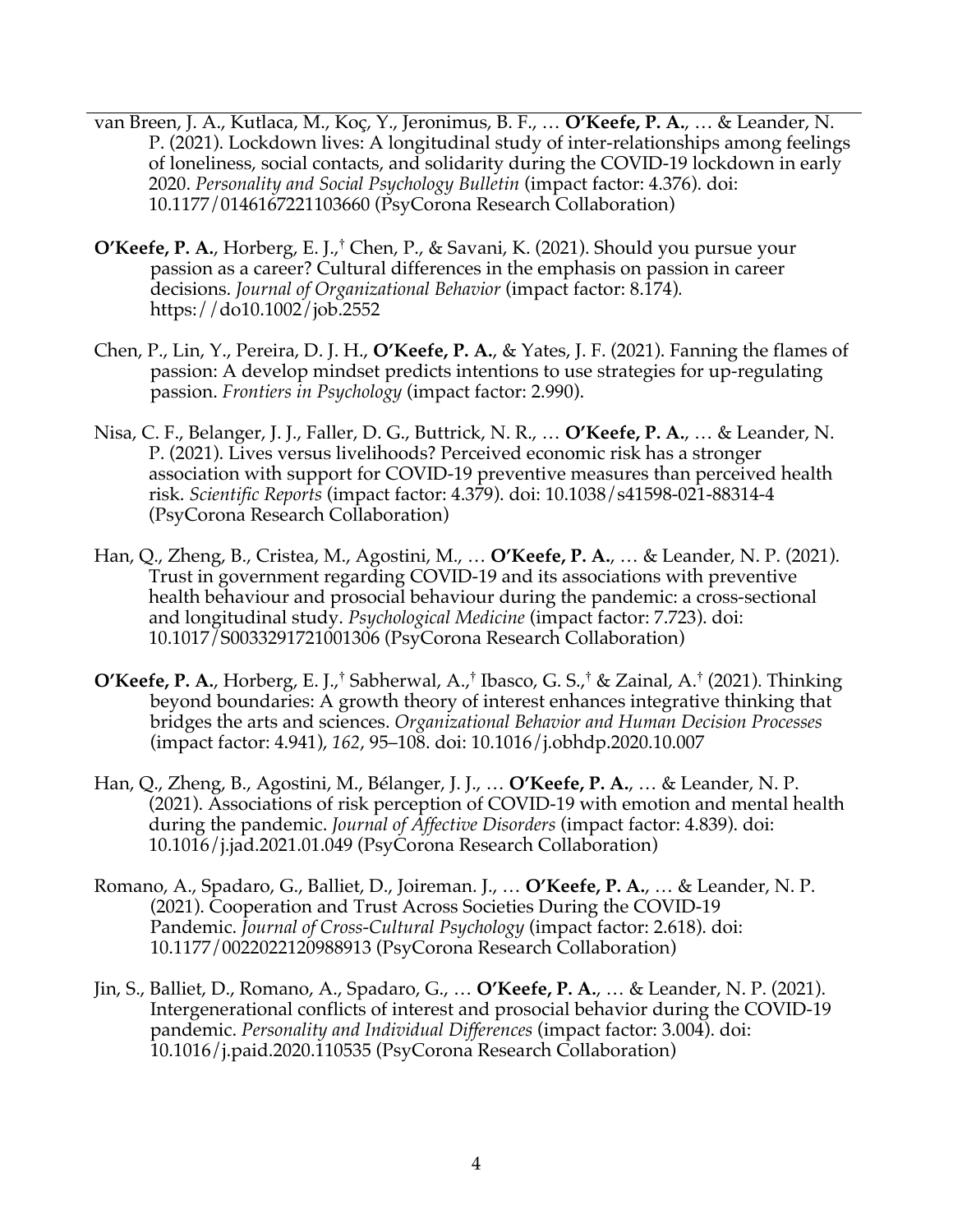- van Breen, J. A., Kutlaca, M., Koç, Y., Jeronimus, B. F., … **O'Keefe, P. A.**, … & Leander, N. P. (2021). Lockdown lives: A longitudinal study of inter-relationships among feelings of loneliness, social contacts, and solidarity during the COVID-19 lockdown in early 2020. *Personality and Social Psychology Bulletin* (impact factor: 4.376). doi: 10.1177/0146167221103660 (PsyCorona Research Collaboration)
- **O'Keefe, P. A.**, Horberg, E. J.,† Chen, P., & Savani, K. (2021). Should you pursue your passion as a career? Cultural differences in the emphasis on passion in career decisions. *Journal of Organizational Behavior* (impact factor: 8.174)*.*  https://do10.1002/job.2552
- Chen, P., Lin, Y., Pereira, D. J. H., **O'Keefe, P. A.**, & Yates, J. F. (2021). Fanning the flames of passion: A develop mindset predicts intentions to use strategies for up-regulating passion. *Frontiers in Psychology* (impact factor: 2.990).
- Nisa, C. F., Belanger, J. J., Faller, D. G., Buttrick, N. R., … **O'Keefe, P. A.**, … & Leander, N. P. (2021). Lives versus livelihoods? Perceived economic risk has a stronger association with support for COVID-19 preventive measures than perceived health risk. *Scientific Reports* (impact factor: 4.379). doi: 10.1038/s41598-021-88314-4 (PsyCorona Research Collaboration)
- Han, Q., Zheng, B., Cristea, M., Agostini, M., … **O'Keefe, P. A.**, … & Leander, N. P. (2021). Trust in government regarding COVID-19 and its associations with preventive health behaviour and prosocial behaviour during the pandemic: a cross-sectional and longitudinal study. *Psychological Medicine* (impact factor: 7.723). doi: 10.1017/S0033291721001306 (PsyCorona Research Collaboration)
- **O'Keefe, P. A.**, Horberg, E. J.,† Sabherwal, A.,† Ibasco, G. S.,† & Zainal, A.† (2021). Thinking beyond boundaries: A growth theory of interest enhances integrative thinking that bridges the arts and sciences. *Organizational Behavior and Human Decision Processes* (impact factor: 4.941), *162*, 95–108. doi: 10.1016/j.obhdp.2020.10.007
- Han, Q., Zheng, B., Agostini, M., Bélanger, J. J., … **O'Keefe, P. A.**, … & Leander, N. P. (2021). Associations of risk perception of COVID-19 with emotion and mental health during the pandemic. *Journal of Affective Disorders* (impact factor: 4.839). doi: 10.1016/j.jad.2021.01.049 (PsyCorona Research Collaboration)
- Romano, A., Spadaro, G., Balliet, D., Joireman. J., … **O'Keefe, P. A.**, … & Leander, N. P. (2021). Cooperation and Trust Across Societies During the COVID-19 Pandemic. *Journal of Cross-Cultural Psychology* (impact factor: 2.618). doi: 10.1177/0022022120988913 (PsyCorona Research Collaboration)
- Jin, S., Balliet, D., Romano, A., Spadaro, G., … **O'Keefe, P. A.**, … & Leander, N. P. (2021). Intergenerational conflicts of interest and prosocial behavior during the COVID-19 pandemic. *Personality and Individual Differences* (impact factor: 3.004). doi: 10.1016/j.paid.2020.110535 (PsyCorona Research Collaboration)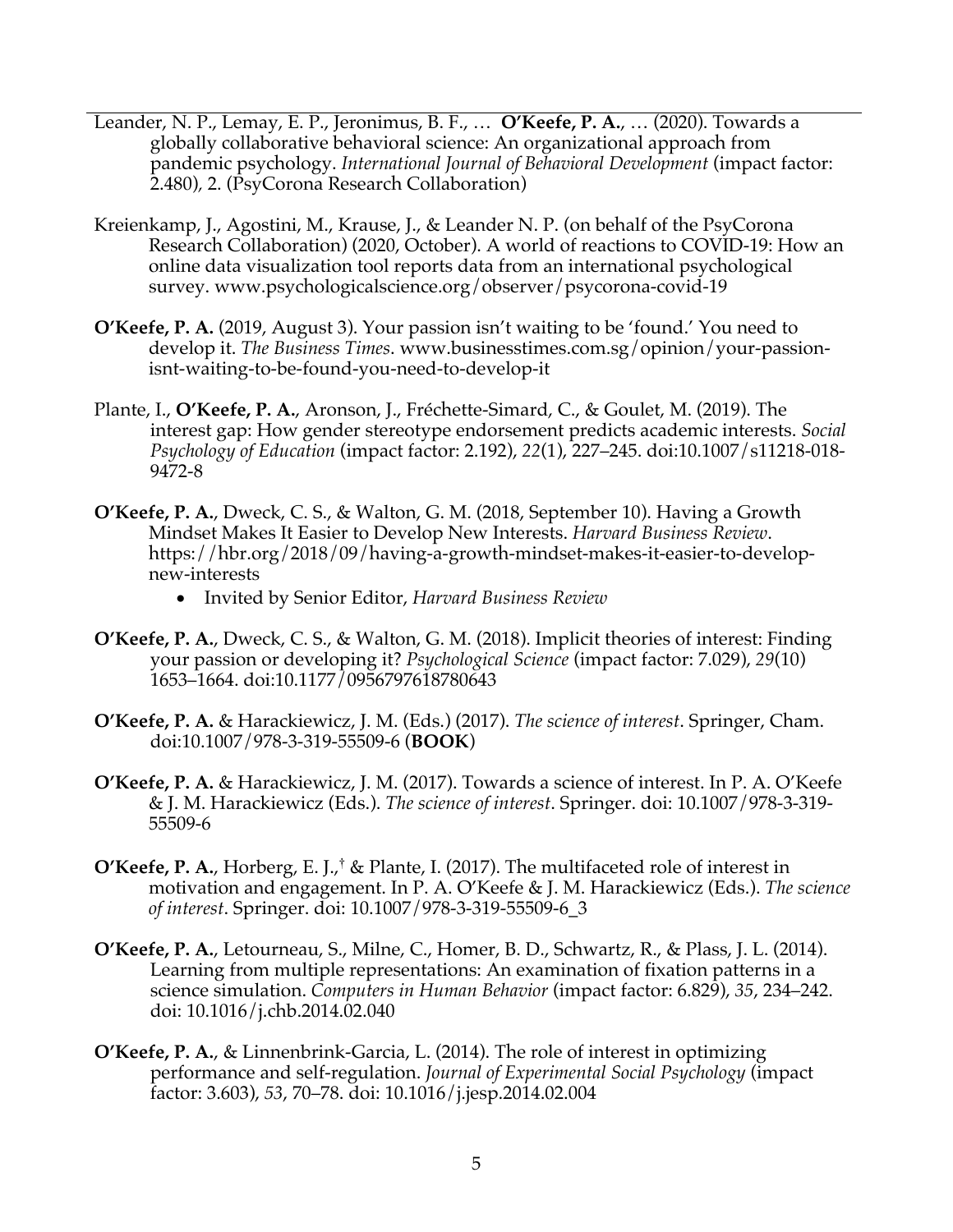- Leander, N. P., Lemay, E. P., Jeronimus, B. F., … **O'Keefe, P. A.**, … (2020). Towards a globally collaborative behavioral science: An organizational approach from pandemic psychology. *International Journal of Behavioral Development* (impact factor: 2.480)*,* 2. (PsyCorona Research Collaboration)
- Kreienkamp, J., Agostini, M., Krause, J., & Leander N. P. (on behalf of the PsyCorona Research Collaboration) (2020, October). A world of reactions to COVID-19: How an online data visualization tool reports data from an international psychological survey. www.psychologicalscience.org/observer/psycorona-covid-19
- **O'Keefe, P. A.** (2019, August 3). Your passion isn't waiting to be 'found.' You need to develop it. *The Business Times*. www.businesstimes.com.sg/opinion/your-passionisnt-waiting-to-be-found-you-need-to-develop-it
- Plante, I., **O'Keefe, P. A.**, Aronson, J., Fréchette-Simard, C., & Goulet, M. (2019). The interest gap: How gender stereotype endorsement predicts academic interests. *Social Psychology of Education* (impact factor: 2.192), *22*(1), 227–245. doi:10.1007/s11218-018- 9472-8
- **O'Keefe, P. A.**, Dweck, C. S., & Walton, G. M. (2018, September 10). Having a Growth Mindset Makes It Easier to Develop New Interests. *Harvard Business Review*. https://hbr.org/2018/09/having-a-growth-mindset-makes-it-easier-to-developnew-interests
	- Invited by Senior Editor, *Harvard Business Review*
- **O'Keefe, P. A.**, Dweck, C. S., & Walton, G. M. (2018). Implicit theories of interest: Finding your passion or developing it? *Psychological Science* (impact factor: 7.029), *29*(10) 1653–1664. doi:10.1177/0956797618780643
- **O'Keefe, P. A.** & Harackiewicz, J. M. (Eds.) (2017). *The science of interest*. Springer, Cham. doi:10.1007/978-3-319-55509-6 (**BOOK**)
- **O'Keefe, P. A.** & Harackiewicz, J. M. (2017). Towards a science of interest. In P. A. O'Keefe & J. M. Harackiewicz (Eds.). *The science of interest*. Springer. doi: 10.1007/978-3-319- 55509-6
- **O'Keefe, P. A.**, Horberg, E. J.,† & Plante, I. (2017). The multifaceted role of interest in motivation and engagement. In P. A. O'Keefe & J. M. Harackiewicz (Eds.). *The science of interest*. Springer. doi: 10.1007/978-3-319-55509-6\_3
- **O'Keefe, P. A.**, Letourneau, S., Milne, C., Homer, B. D., Schwartz, R., & Plass, J. L. (2014). Learning from multiple representations: An examination of fixation patterns in a science simulation. *Computers in Human Behavior* (impact factor: 6.829), *35*, 234–242. doi: 10.1016/j.chb.2014.02.040
- **O'Keefe, P. A.**, & Linnenbrink-Garcia, L. (2014). The role of interest in optimizing performance and self-regulation. *Journal of Experimental Social Psychology* (impact factor: 3.603), *53*, 70–78. doi: 10.1016/j.jesp.2014.02.004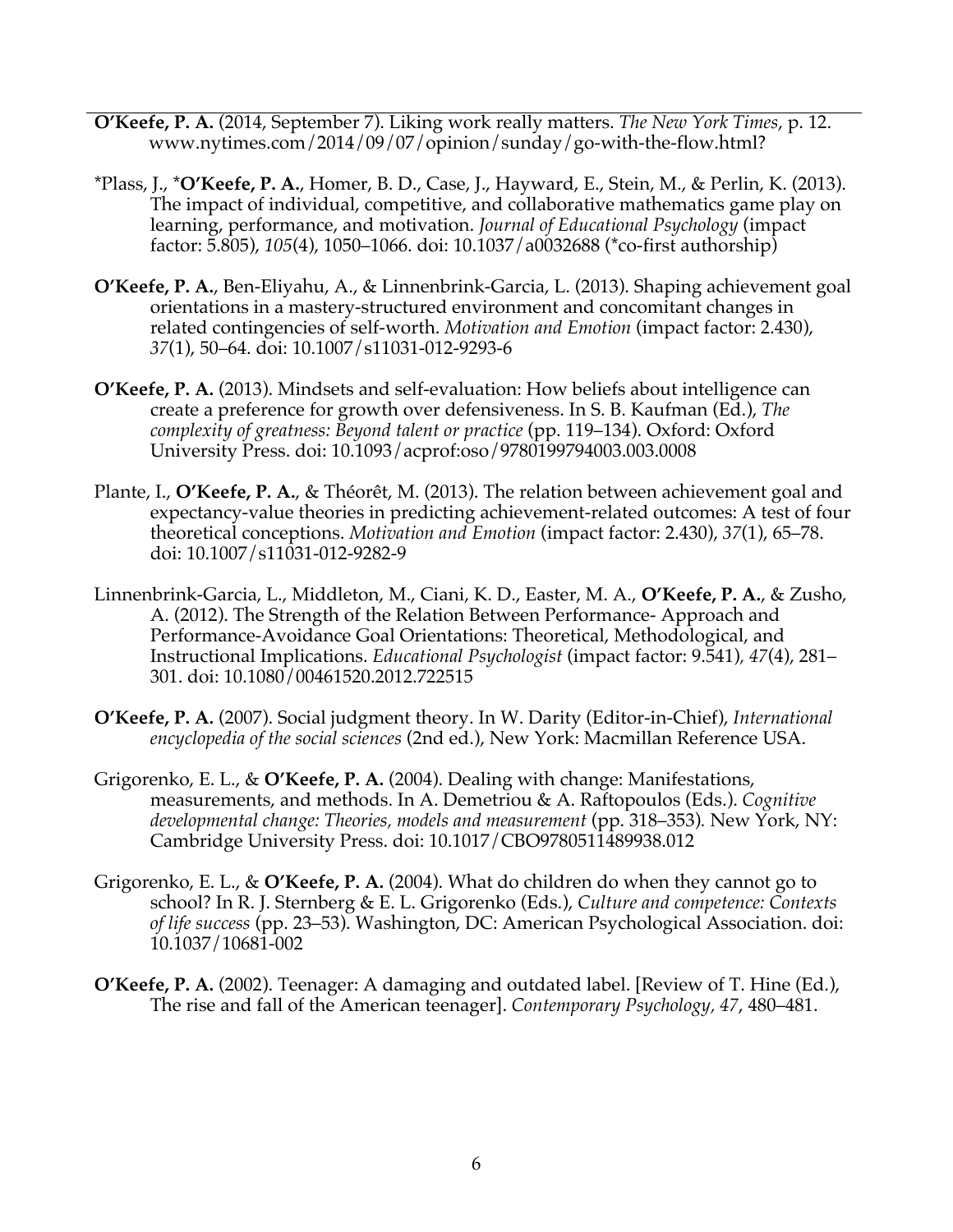- **O'Keefe, P. A.** (2014, September 7). Liking work really matters. *The New York Times*, p. 12. www.nytimes.com/2014/09/07/opinion/sunday/go-with-the-flow.html?
- \*Plass, J., \***O'Keefe, P. A.**, Homer, B. D., Case, J., Hayward, E., Stein, M., & Perlin, K. (2013). The impact of individual, competitive, and collaborative mathematics game play on learning, performance, and motivation. *Journal of Educational Psychology* (impact factor: 5.805), *105*(4), 1050–1066. doi: 10.1037/a0032688 (\*co-first authorship)
- **O'Keefe, P. A.**, Ben-Eliyahu, A., & Linnenbrink-Garcia, L. (2013). Shaping achievement goal orientations in a mastery-structured environment and concomitant changes in related contingencies of self-worth. *Motivation and Emotion* (impact factor: 2.430), *37*(1), 50–64. doi: 10.1007/s11031-012-9293-6
- **O'Keefe, P. A.** (2013). Mindsets and self-evaluation: How beliefs about intelligence can create a preference for growth over defensiveness. In S. B. Kaufman (Ed.), *The complexity of greatness: Beyond talent or practice* (pp. 119–134). Oxford: Oxford University Press. doi: 10.1093/acprof:oso/9780199794003.003.0008
- Plante, I., **O'Keefe, P. A.**, & Théorêt, M. (2013). The relation between achievement goal and expectancy-value theories in predicting achievement-related outcomes: A test of four theoretical conceptions. *Motivation and Emotion* (impact factor: 2.430), *37*(1), 65–78. doi: 10.1007/s11031-012-9282-9
- Linnenbrink-Garcia, L., Middleton, M., Ciani, K. D., Easter, M. A., **O'Keefe, P. A.**, & Zusho, A. (2012). The Strength of the Relation Between Performance- Approach and Performance-Avoidance Goal Orientations: Theoretical, Methodological, and Instructional Implications. *Educational Psychologist* (impact factor: 9.541)*, 47*(4), 281– 301. doi: 10.1080/00461520.2012.722515
- **O'Keefe, P. A.** (2007). Social judgment theory. In W. Darity (Editor-in-Chief), *International encyclopedia of the social sciences* (2nd ed.), New York: Macmillan Reference USA.
- Grigorenko, E. L., & **O'Keefe, P. A.** (2004). Dealing with change: Manifestations, measurements, and methods. In A. Demetriou & A. Raftopoulos (Eds.). *Cognitive developmental change: Theories, models and measurement* (pp. 318–353)*.* New York, NY: Cambridge University Press. doi: 10.1017/CBO9780511489938.012
- Grigorenko, E. L., & **O'Keefe, P. A.** (2004). What do children do when they cannot go to school? In R. J. Sternberg & E. L. Grigorenko (Eds.), *Culture and competence: Contexts of life success* (pp. 23–53). Washington, DC: American Psychological Association. doi: 10.1037/10681-002
- **O'Keefe, P. A.** (2002). Teenager: A damaging and outdated label. [Review of T. Hine (Ed.), The rise and fall of the American teenager]. *Contemporary Psychology, 47*, 480–481.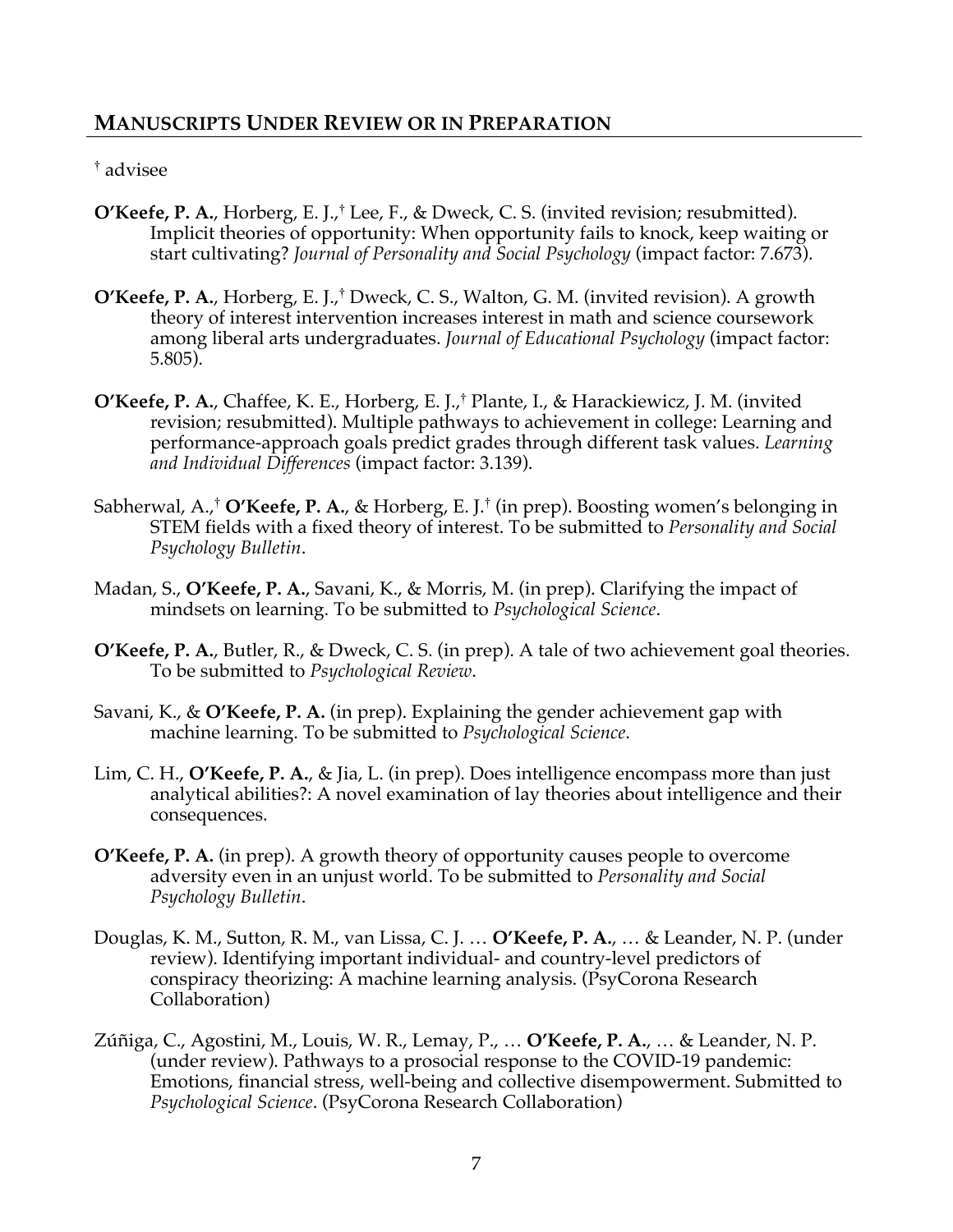# **MANUSCRIPTS UNDER REVIEW OR IN PREPARATION**

#### † advisee

- **O'Keefe, P. A.**, Horberg, E. J.,† Lee, F., & Dweck, C. S. (invited revision; resubmitted). Implicit theories of opportunity: When opportunity fails to knock, keep waiting or start cultivating? *Journal of Personality and Social Psychology* (impact factor: 7.673).
- **O'Keefe, P. A.**, Horberg, E. J., † Dweck, C. S., Walton, G. M. (invited revision). A growth theory of interest intervention increases interest in math and science coursework among liberal arts undergraduates. *Journal of Educational Psychology* (impact factor: 5.805).
- **O'Keefe, P. A.**, Chaffee, K. E., Horberg, E. J.,† Plante, I., & Harackiewicz, J. M. (invited revision; resubmitted). Multiple pathways to achievement in college: Learning and performance-approach goals predict grades through different task values. *Learning and Individual Differences* (impact factor: 3.139).
- Sabherwal, A.,† **O'Keefe, P. A.**, & Horberg, E. J.† (in prep). Boosting women's belonging in STEM fields with a fixed theory of interest. To be submitted to *Personality and Social Psychology Bulletin*.
- Madan, S., **O'Keefe, P. A.**, Savani, K., & Morris, M. (in prep). Clarifying the impact of mindsets on learning. To be submitted to *Psychological Science*.
- **O'Keefe, P. A.**, Butler, R., & Dweck, C. S. (in prep). A tale of two achievement goal theories. To be submitted to *Psychological Review*.
- Savani, K., & **O'Keefe, P. A.** (in prep). Explaining the gender achievement gap with machine learning. To be submitted to *Psychological Science*.
- Lim, C. H., **O'Keefe, P. A.**, & Jia, L. (in prep). Does intelligence encompass more than just analytical abilities?: A novel examination of lay theories about intelligence and their consequences.
- **O'Keefe, P. A.** (in prep). A growth theory of opportunity causes people to overcome adversity even in an unjust world. To be submitted to *Personality and Social Psychology Bulletin*.
- Douglas, K. M., Sutton, R. M., van Lissa, C. J. … **O'Keefe, P. A.**, … & Leander, N. P. (under review). Identifying important individual- and country-level predictors of conspiracy theorizing: A machine learning analysis. (PsyCorona Research Collaboration)
- Zúñiga, C., Agostini, M., Louis, W. R., Lemay, P., … **O'Keefe, P. A.**, … & Leander, N. P. (under review). Pathways to a prosocial response to the COVID-19 pandemic: Emotions, financial stress, well-being and collective disempowerment. Submitted to *Psychological Science*. (PsyCorona Research Collaboration)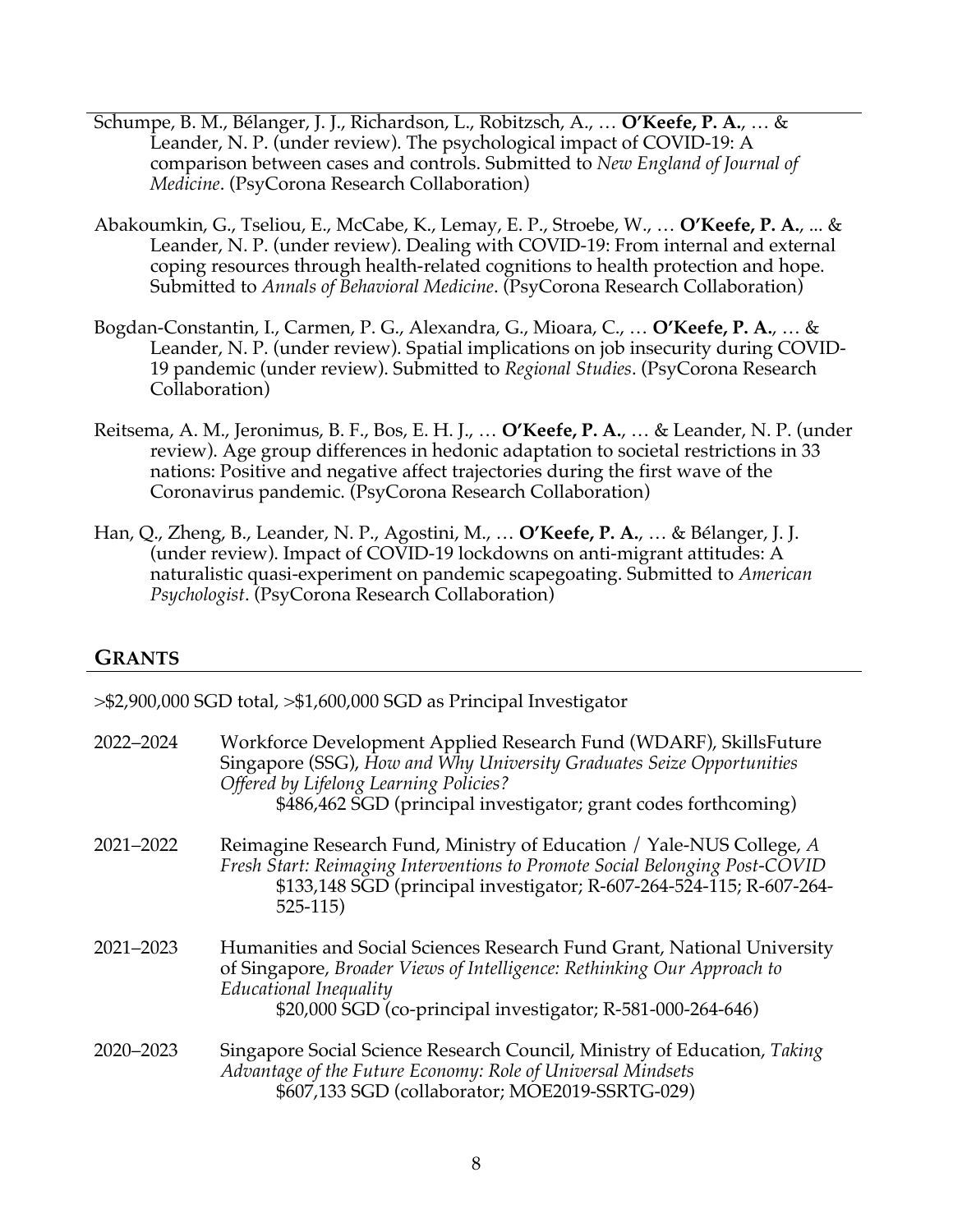- Schumpe, B. M., Bélanger, J. J., Richardson, L., Robitzsch, A., … **O'Keefe, P. A.**, … & Leander, N. P. (under review). The psychological impact of COVID-19: A comparison between cases and controls. Submitted to *New England of Journal of Medicine*. (PsyCorona Research Collaboration)
- Abakoumkin, G., Tseliou, E., McCabe, K., Lemay, E. P., Stroebe, W., … **O'Keefe, P. A.**, ... & Leander, N. P. (under review). Dealing with COVID-19: From internal and external coping resources through health-related cognitions to health protection and hope. Submitted to *Annals of Behavioral Medicine*. (PsyCorona Research Collaboration)
- Bogdan-Constantin, I., Carmen, P. G., Alexandra, G., Mioara, C., … **O'Keefe, P. A.**, … & Leander, N. P. (under review). Spatial implications on job insecurity during COVID-19 pandemic (under review). Submitted to *Regional Studies*. (PsyCorona Research Collaboration)
- Reitsema, A. M., Jeronimus, B. F., Bos, E. H. J., … **O'Keefe, P. A.**, … & Leander, N. P. (under review). Age group differences in hedonic adaptation to societal restrictions in 33 nations: Positive and negative affect trajectories during the first wave of the Coronavirus pandemic. (PsyCorona Research Collaboration)
- Han, Q., Zheng, B., Leander, N. P., Agostini, M., … **O'Keefe, P. A.**, … & Bélanger, J. J. (under review). Impact of COVID-19 lockdowns on anti-migrant attitudes: A naturalistic quasi-experiment on pandemic scapegoating. Submitted to *American Psychologist*. (PsyCorona Research Collaboration)

#### **GRANTS**

| $>\$ 2,900,000 SGD total, $>\$ 1,600,000 SGD as Principal Investigator |                                                                                                                                                                                                                                                         |
|------------------------------------------------------------------------|---------------------------------------------------------------------------------------------------------------------------------------------------------------------------------------------------------------------------------------------------------|
| 2022-2024                                                              | Workforce Development Applied Research Fund (WDARF), SkillsFuture<br>Singapore (SSG), How and Why University Graduates Seize Opportunities<br>Offered by Lifelong Learning Policies?<br>\$486,462 SGD (principal investigator; grant codes forthcoming) |
| 2021-2022                                                              | Reimagine Research Fund, Ministry of Education / Yale-NUS College, A<br>Fresh Start: Reimaging Interventions to Promote Social Belonging Post-COVID<br>\$133,148 SGD (principal investigator; R-607-264-524-115; R-607-264-<br>$525-115$                |
| 2021-2023                                                              | Humanities and Social Sciences Research Fund Grant, National University<br>of Singapore, Broader Views of Intelligence: Rethinking Our Approach to<br>Educational Inequality<br>\$20,000 SGD (co-principal investigator; R-581-000-264-646)             |
| 2020-2023                                                              | Singapore Social Science Research Council, Ministry of Education, Taking<br>Advantage of the Future Economy: Role of Universal Mindsets<br>\$607,133 SGD (collaborator; MOE2019-SSRTG-029)                                                              |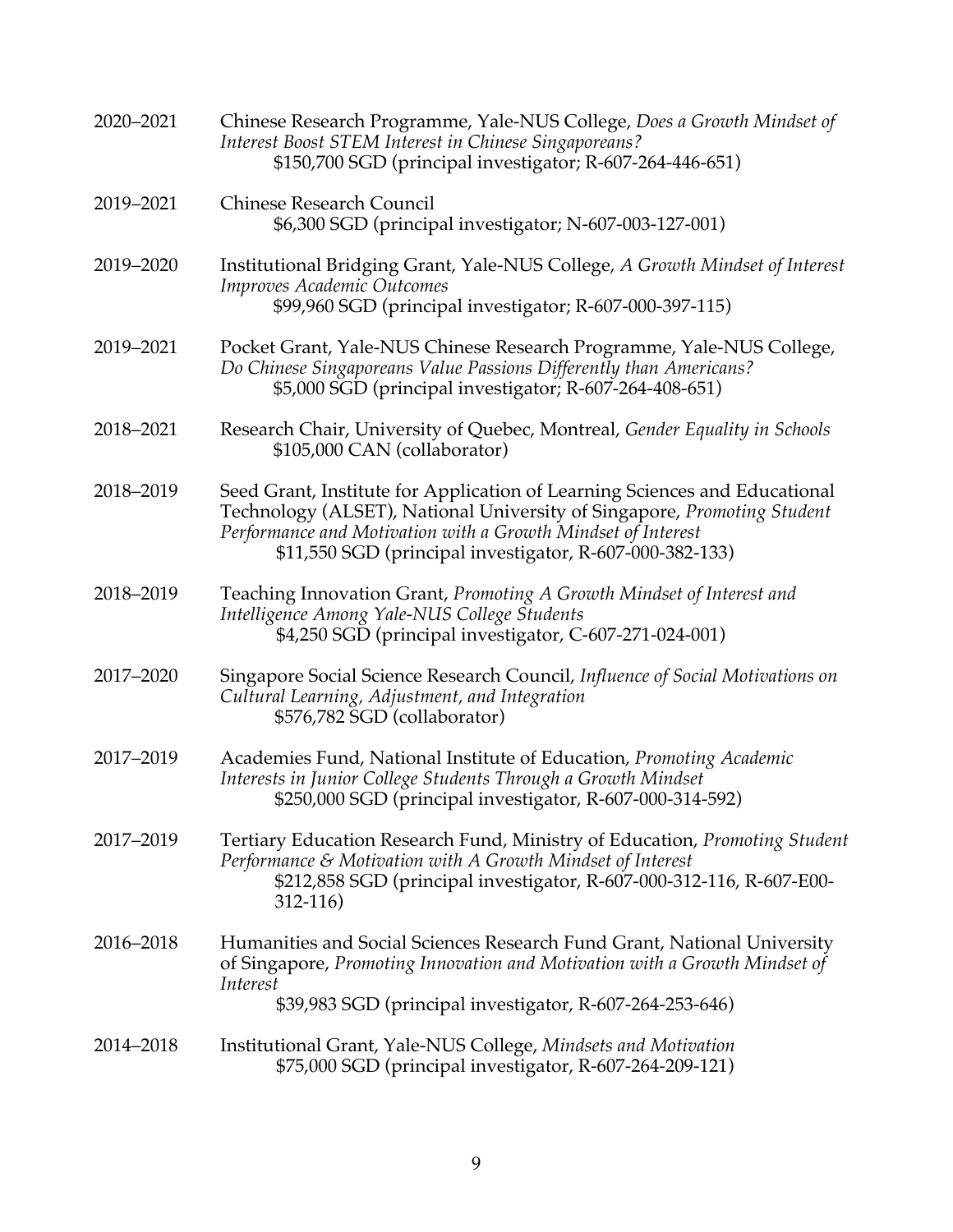| 2020-2021 | Chinese Research Programme, Yale-NUS College, Does a Growth Mindset of<br>Interest Boost STEM Interest in Chinese Singaporeans?<br>\$150,700 SGD (principal investigator; R-607-264-446-651)                                                                                      |
|-----------|-----------------------------------------------------------------------------------------------------------------------------------------------------------------------------------------------------------------------------------------------------------------------------------|
| 2019-2021 | <b>Chinese Research Council</b><br>\$6,300 SGD (principal investigator; N-607-003-127-001)                                                                                                                                                                                        |
| 2019-2020 | Institutional Bridging Grant, Yale-NUS College, A Growth Mindset of Interest<br>Improves Academic Outcomes<br>\$99,960 SGD (principal investigator; R-607-000-397-115)                                                                                                            |
| 2019-2021 | Pocket Grant, Yale-NUS Chinese Research Programme, Yale-NUS College,<br>Do Chinese Singaporeans Value Passions Differently than Americans?<br>\$5,000 SGD (principal investigator; R-607-264-408-651)                                                                             |
| 2018-2021 | Research Chair, University of Quebec, Montreal, Gender Equality in Schools<br>\$105,000 CAN (collaborator)                                                                                                                                                                        |
| 2018-2019 | Seed Grant, Institute for Application of Learning Sciences and Educational<br>Technology (ALSET), National University of Singapore, Promoting Student<br>Performance and Motivation with a Growth Mindset of Interest<br>\$11,550 SGD (principal investigator, R-607-000-382-133) |
| 2018-2019 | Teaching Innovation Grant, Promoting A Growth Mindset of Interest and<br>Intelligence Among Yale-NUS College Students<br>\$4,250 SGD (principal investigator, C-607-271-024-001)                                                                                                  |
| 2017-2020 | Singapore Social Science Research Council, Influence of Social Motivations on<br>Cultural Learning, Adjustment, and Integration<br>\$576,782 SGD (collaborator)                                                                                                                   |
| 2017-2019 | Academies Fund, National Institute of Education, Promoting Academic<br>Interests in Junior College Students Through a Growth Mindset<br>\$250,000 SGD (principal investigator, R-607-000-314-592)                                                                                 |
| 2017-2019 | Tertiary Education Research Fund, Ministry of Education, <i>Promoting Student</i><br>Performance & Motivation with A Growth Mindset of Interest<br>\$212,858 SGD (principal investigator, R-607-000-312-116, R-607-E00-<br>$312 - 116$                                            |
| 2016-2018 | Humanities and Social Sciences Research Fund Grant, National University<br>of Singapore, Promoting Innovation and Motivation with a Growth Mindset of<br>Interest<br>\$39,983 SGD (principal investigator, R-607-264-253-646)                                                     |
| 2014-2018 | Institutional Grant, Yale-NUS College, Mindsets and Motivation<br>\$75,000 SGD (principal investigator, R-607-264-209-121)                                                                                                                                                        |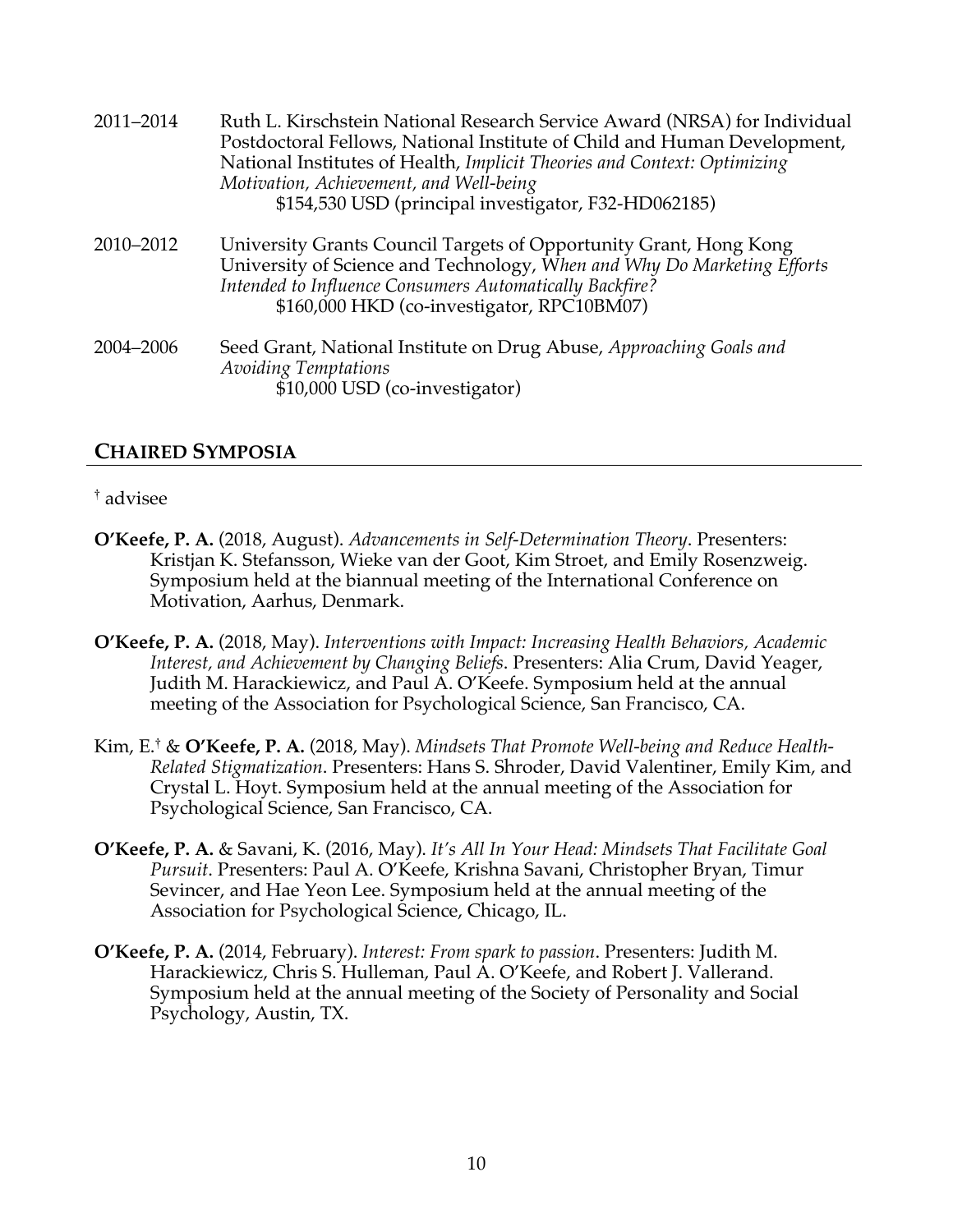| 2011-2014 | Ruth L. Kirschstein National Research Service Award (NRSA) for Individual<br>Postdoctoral Fellows, National Institute of Child and Human Development,<br>National Institutes of Health, Implicit Theories and Context: Optimizing<br>Motivation, Achievement, and Well-being<br>\$154,530 USD (principal investigator, F32-HD062185) |
|-----------|--------------------------------------------------------------------------------------------------------------------------------------------------------------------------------------------------------------------------------------------------------------------------------------------------------------------------------------|
| 2010-2012 | University Grants Council Targets of Opportunity Grant, Hong Kong<br>University of Science and Technology, When and Why Do Marketing Efforts<br>Intended to Influence Consumers Automatically Backfire?<br>\$160,000 HKD (co-investigator, RPC10BM07)                                                                                |
| 2004-2006 | Seed Grant, National Institute on Drug Abuse, Approaching Goals and<br>Avoiding Temptations<br>\$10,000 USD (co-investigator)                                                                                                                                                                                                        |

#### **CHAIRED SYMPOSIA**

#### † advisee

- **O'Keefe, P. A.** (2018, August). *Advancements in Self-Determination Theory*. Presenters: Kristjan K. Stefansson, Wieke van der Goot, Kim Stroet, and Emily Rosenzweig. Symposium held at the biannual meeting of the International Conference on Motivation, Aarhus, Denmark.
- **O'Keefe, P. A.** (2018, May). *Interventions with Impact: Increasing Health Behaviors, Academic Interest, and Achievement by Changing Beliefs*. Presenters: Alia Crum, David Yeager, Judith M. Harackiewicz, and Paul A. O'Keefe. Symposium held at the annual meeting of the Association for Psychological Science, San Francisco, CA.
- Kim, E.† & **O'Keefe, P. A.** (2018, May). *Mindsets That Promote Well-being and Reduce Health-Related Stigmatization*. Presenters: Hans S. Shroder, David Valentiner, Emily Kim, and Crystal L. Hoyt. Symposium held at the annual meeting of the Association for Psychological Science, San Francisco, CA.
- **O'Keefe, P. A.** & Savani, K. (2016, May). *It's All In Your Head: Mindsets That Facilitate Goal Pursuit*. Presenters: Paul A. O'Keefe, Krishna Savani, Christopher Bryan, Timur Sevincer, and Hae Yeon Lee. Symposium held at the annual meeting of the Association for Psychological Science, Chicago, IL.
- **O'Keefe, P. A.** (2014, February). *Interest: From spark to passion*. Presenters: Judith M. Harackiewicz, Chris S. Hulleman, Paul A. O'Keefe, and Robert J. Vallerand. Symposium held at the annual meeting of the Society of Personality and Social Psychology, Austin, TX.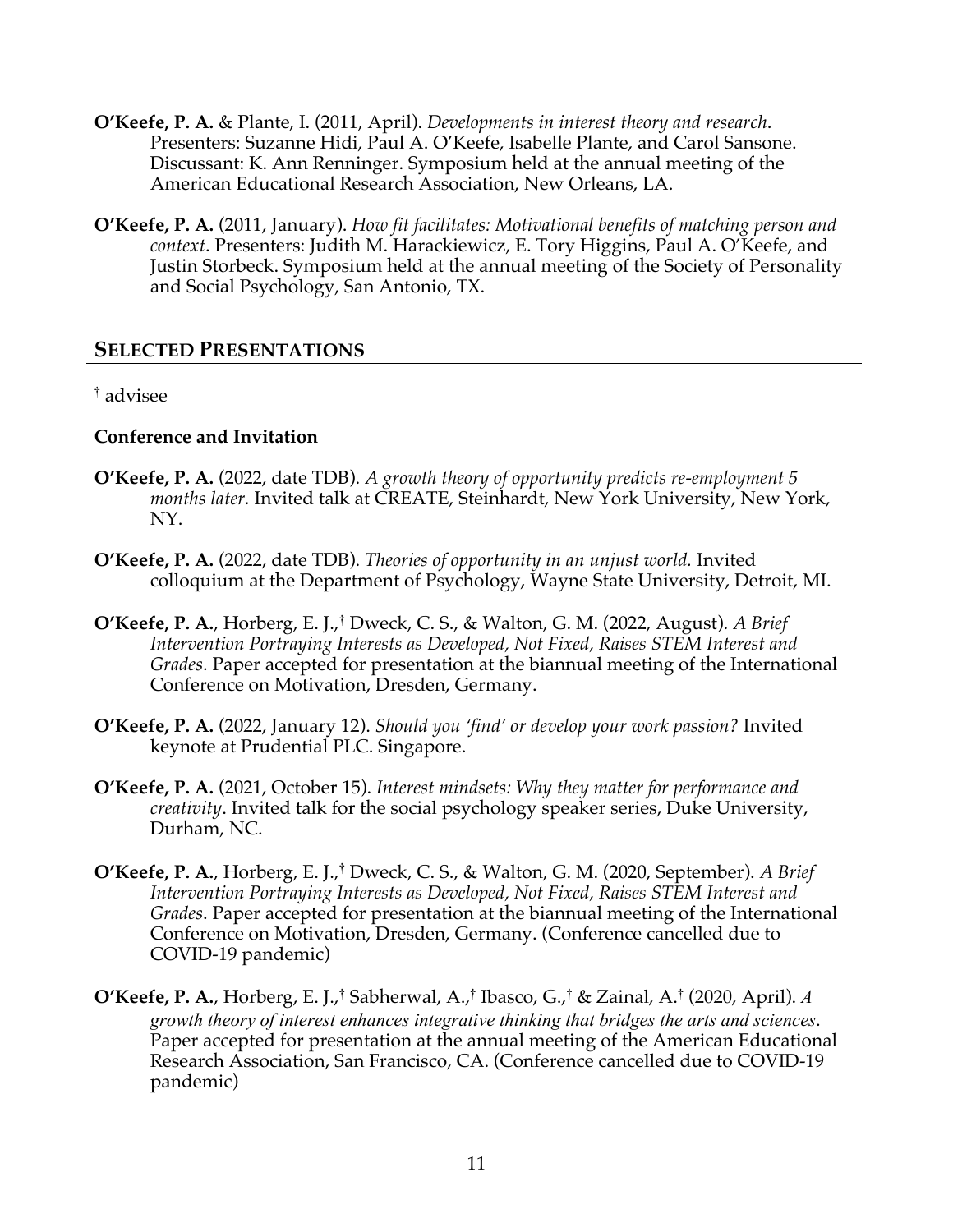- **O'Keefe, P. A.** & Plante, I. (2011, April). *Developments in interest theory and research*. Presenters: Suzanne Hidi, Paul A. O'Keefe, Isabelle Plante, and Carol Sansone. Discussant: K. Ann Renninger. Symposium held at the annual meeting of the American Educational Research Association, New Orleans, LA.
- **O'Keefe, P. A.** (2011, January). *How fit facilitates: Motivational benefits of matching person and context*. Presenters: Judith M. Harackiewicz, E. Tory Higgins, Paul A. O'Keefe, and Justin Storbeck. Symposium held at the annual meeting of the Society of Personality and Social Psychology, San Antonio, TX.

## **SELECTED PRESENTATIONS**

† advisee

#### **Conference and Invitation**

- **O'Keefe, P. A.** (2022, date TDB). *A growth theory of opportunity predicts re-employment 5 months later.* Invited talk at CREATE, Steinhardt, New York University, New York, NY.
- **O'Keefe, P. A.** (2022, date TDB). *Theories of opportunity in an unjust world.* Invited colloquium at the Department of Psychology, Wayne State University, Detroit, MI.
- **O'Keefe, P. A.**, Horberg, E. J., † Dweck, C. S., & Walton, G. M. (2022, August). *A Brief Intervention Portraying Interests as Developed, Not Fixed, Raises STEM Interest and Grades*. Paper accepted for presentation at the biannual meeting of the International Conference on Motivation, Dresden, Germany.
- **O'Keefe, P. A.** (2022, January 12). *Should you 'find' or develop your work passion?* Invited keynote at Prudential PLC. Singapore.
- **O'Keefe, P. A.** (2021, October 15). *Interest mindsets: Why they matter for performance and creativity*. Invited talk for the social psychology speaker series, Duke University, Durham, NC.
- **O'Keefe, P. A.**, Horberg, E. J., † Dweck, C. S., & Walton, G. M. (2020, September). *A Brief Intervention Portraying Interests as Developed, Not Fixed, Raises STEM Interest and Grades*. Paper accepted for presentation at the biannual meeting of the International Conference on Motivation, Dresden, Germany. (Conference cancelled due to COVID-19 pandemic)
- **O'Keefe, P. A.**, Horberg, E. J.,† Sabherwal, A.,† Ibasco, G.,† & Zainal, A.† (2020, April). *A growth theory of interest enhances integrative thinking that bridges the arts and sciences*. Paper accepted for presentation at the annual meeting of the American Educational Research Association, San Francisco, CA. (Conference cancelled due to COVID-19 pandemic)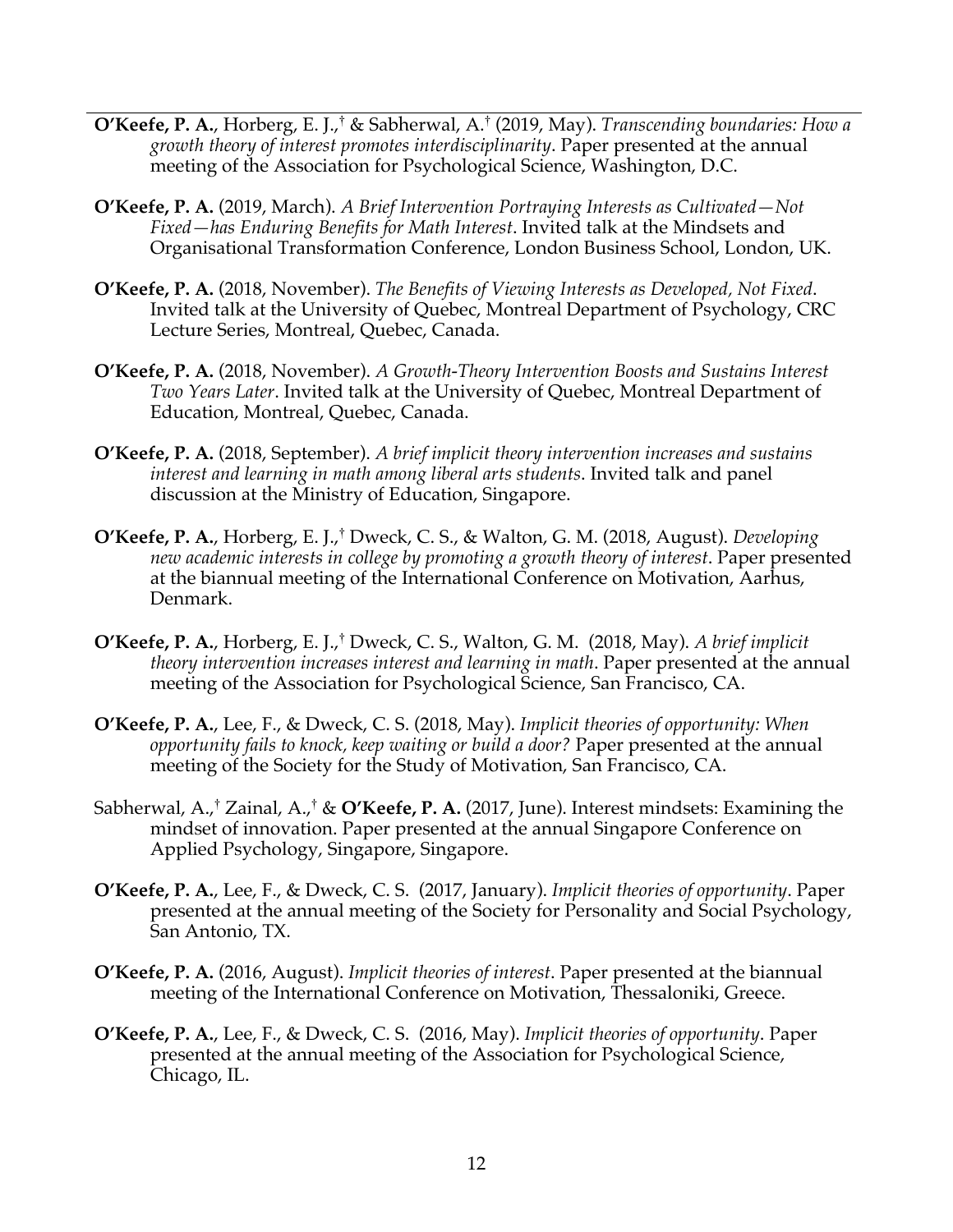- **O'Keefe, P. A.**, Horberg, E. J.,† & Sabherwal, A.† (2019, May). *Transcending boundaries: How a growth theory of interest promotes interdisciplinarity*. Paper presented at the annual meeting of the Association for Psychological Science, Washington, D.C.
- **O'Keefe, P. A.** (2019, March). *A Brief Intervention Portraying Interests as Cultivated—Not Fixed—has Enduring Benefits for Math Interest*. Invited talk at the Mindsets and Organisational Transformation Conference, London Business School, London, UK.
- **O'Keefe, P. A.** (2018, November). *The Benefits of Viewing Interests as Developed, Not Fixed*. Invited talk at the University of Quebec, Montreal Department of Psychology, CRC Lecture Series, Montreal, Quebec, Canada.
- **O'Keefe, P. A.** (2018, November). *A Growth-Theory Intervention Boosts and Sustains Interest Two Years Later*. Invited talk at the University of Quebec, Montreal Department of Education, Montreal, Quebec, Canada.
- **O'Keefe, P. A.** (2018, September). *A brief implicit theory intervention increases and sustains interest and learning in math among liberal arts students*. Invited talk and panel discussion at the Ministry of Education, Singapore.
- **O'Keefe, P. A.**, Horberg, E. J.,† Dweck, C. S., & Walton, G. M. (2018, August). *Developing new academic interests in college by promoting a growth theory of interest*. Paper presented at the biannual meeting of the International Conference on Motivation, Aarhus, Denmark.
- **O'Keefe, P. A.**, Horberg, E. J.,† Dweck, C. S., Walton, G. M. (2018, May). *A brief implicit theory intervention increases interest and learning in math*. Paper presented at the annual meeting of the Association for Psychological Science, San Francisco, CA.
- **O'Keefe, P. A.**, Lee, F., & Dweck, C. S. (2018, May). *Implicit theories of opportunity: When opportunity fails to knock, keep waiting or build a door?* Paper presented at the annual meeting of the Society for the Study of Motivation, San Francisco, CA.
- Sabherwal, A.,† Zainal, A.,† & **O'Keefe, P. A.** (2017, June). Interest mindsets: Examining the mindset of innovation. Paper presented at the annual Singapore Conference on Applied Psychology, Singapore, Singapore.
- **O'Keefe, P. A.**, Lee, F., & Dweck, C. S. (2017, January). *Implicit theories of opportunity*. Paper presented at the annual meeting of the Society for Personality and Social Psychology, San Antonio, TX.
- **O'Keefe, P. A.** (2016, August). *Implicit theories of interest*. Paper presented at the biannual meeting of the International Conference on Motivation, Thessaloniki, Greece.
- **O'Keefe, P. A.**, Lee, F., & Dweck, C. S. (2016, May). *Implicit theories of opportunity*. Paper presented at the annual meeting of the Association for Psychological Science, Chicago, IL.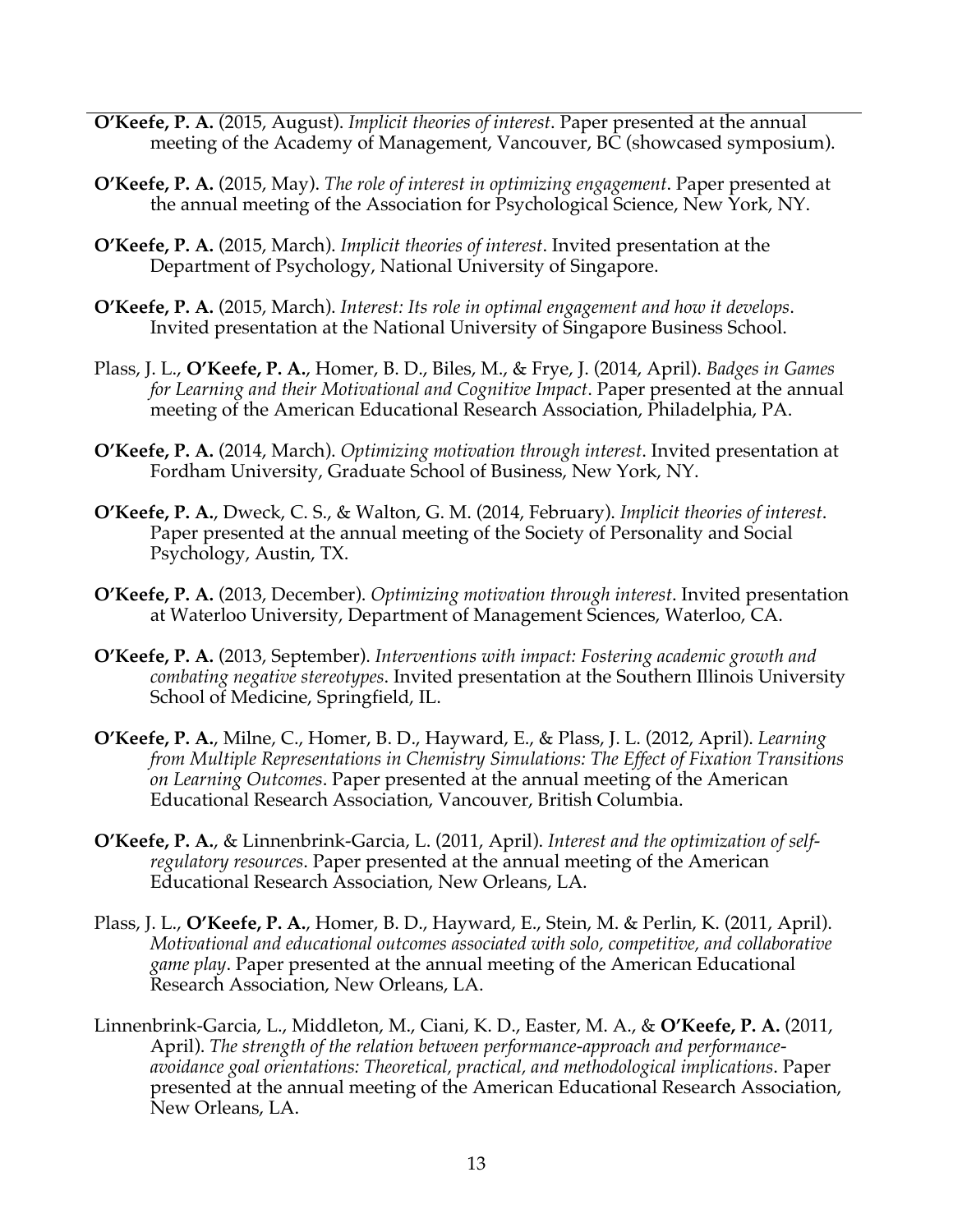- **O'Keefe, P. A.** (2015, August). *Implicit theories of interest*. Paper presented at the annual meeting of the Academy of Management, Vancouver, BC (showcased symposium).
- **O'Keefe, P. A.** (2015, May). *The role of interest in optimizing engagement*. Paper presented at the annual meeting of the Association for Psychological Science, New York, NY.
- **O'Keefe, P. A.** (2015, March). *Implicit theories of interest*. Invited presentation at the Department of Psychology, National University of Singapore.
- **O'Keefe, P. A.** (2015, March). *Interest: Its role in optimal engagement and how it develops*. Invited presentation at the National University of Singapore Business School.
- Plass, J. L., **O'Keefe, P. A.**, Homer, B. D., Biles, M., & Frye, J. (2014, April). *Badges in Games for Learning and their Motivational and Cognitive Impact*. Paper presented at the annual meeting of the American Educational Research Association, Philadelphia, PA.
- **O'Keefe, P. A.** (2014, March). *Optimizing motivation through interest*. Invited presentation at Fordham University, Graduate School of Business, New York, NY.
- **O'Keefe, P. A.**, Dweck, C. S., & Walton, G. M. (2014, February). *Implicit theories of interest*. Paper presented at the annual meeting of the Society of Personality and Social Psychology, Austin, TX.
- **O'Keefe, P. A.** (2013, December). *Optimizing motivation through interest*. Invited presentation at Waterloo University, Department of Management Sciences, Waterloo, CA.
- **O'Keefe, P. A.** (2013, September). *Interventions with impact: Fostering academic growth and combating negative stereotypes*. Invited presentation at the Southern Illinois University School of Medicine, Springfield, IL.
- **O'Keefe, P. A.**, Milne, C., Homer, B. D., Hayward, E., & Plass, J. L. (2012, April). *Learning from Multiple Representations in Chemistry Simulations: The Effect of Fixation Transitions on Learning Outcomes*. Paper presented at the annual meeting of the American Educational Research Association, Vancouver, British Columbia.
- **O'Keefe, P. A.**, & Linnenbrink-Garcia, L. (2011, April). *Interest and the optimization of selfregulatory resources*. Paper presented at the annual meeting of the American Educational Research Association, New Orleans, LA.
- Plass, J. L., **O'Keefe, P. A.**, Homer, B. D., Hayward, E., Stein, M. & Perlin, K. (2011, April). *Motivational and educational outcomes associated with solo, competitive, and collaborative game play*. Paper presented at the annual meeting of the American Educational Research Association, New Orleans, LA.
- Linnenbrink-Garcia, L., Middleton, M., Ciani, K. D., Easter, M. A., & **O'Keefe, P. A.** (2011, April). *The strength of the relation between performance-approach and performanceavoidance goal orientations: Theoretical, practical, and methodological implications*. Paper presented at the annual meeting of the American Educational Research Association, New Orleans, LA.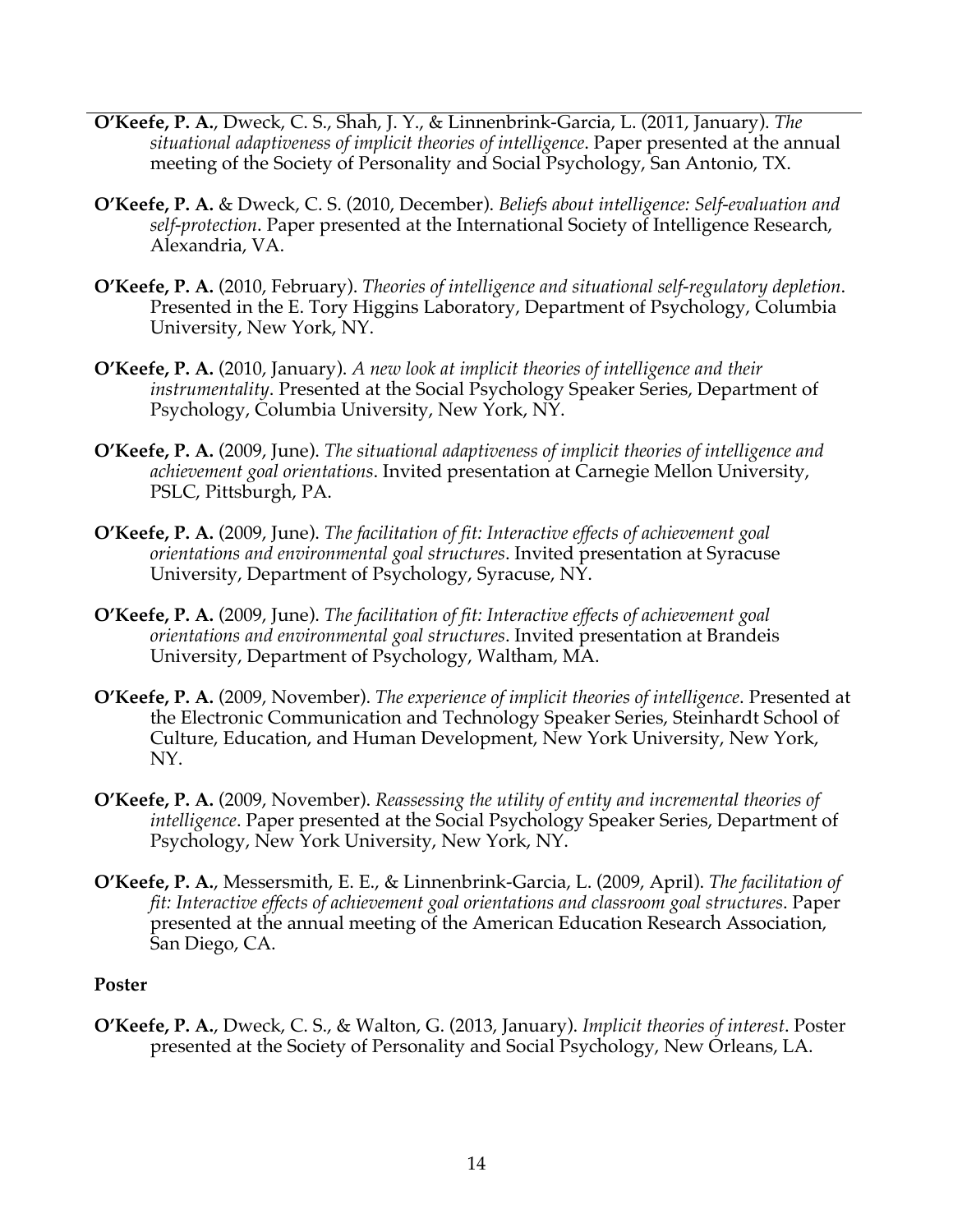- **O'Keefe, P. A.**, Dweck, C. S., Shah, J. Y., & Linnenbrink-Garcia, L. (2011, January). *The situational adaptiveness of implicit theories of intelligence*. Paper presented at the annual meeting of the Society of Personality and Social Psychology, San Antonio, TX.
- **O'Keefe, P. A.** & Dweck, C. S. (2010, December). *Beliefs about intelligence: Self-evaluation and self-protection*. Paper presented at the International Society of Intelligence Research, Alexandria, VA.
- **O'Keefe, P. A.** (2010, February). *Theories of intelligence and situational self-regulatory depletion*. Presented in the E. Tory Higgins Laboratory, Department of Psychology, Columbia University, New York, NY.
- **O'Keefe, P. A.** (2010, January). *A new look at implicit theories of intelligence and their instrumentality*. Presented at the Social Psychology Speaker Series, Department of Psychology, Columbia University, New York, NY.
- **O'Keefe, P. A.** (2009, June). *The situational adaptiveness of implicit theories of intelligence and achievement goal orientations*. Invited presentation at Carnegie Mellon University, PSLC, Pittsburgh, PA.
- **O'Keefe, P. A.** (2009, June). *The facilitation of fit: Interactive effects of achievement goal orientations and environmental goal structures*. Invited presentation at Syracuse University, Department of Psychology, Syracuse, NY.
- **O'Keefe, P. A.** (2009, June). *The facilitation of fit: Interactive effects of achievement goal orientations and environmental goal structures*. Invited presentation at Brandeis University, Department of Psychology, Waltham, MA.
- **O'Keefe, P. A.** (2009, November). *The experience of implicit theories of intelligence*. Presented at the Electronic Communication and Technology Speaker Series, Steinhardt School of Culture, Education, and Human Development, New York University, New York, NY.
- **O'Keefe, P. A.** (2009, November). *Reassessing the utility of entity and incremental theories of intelligence*. Paper presented at the Social Psychology Speaker Series, Department of Psychology, New York University, New York, NY.
- **O'Keefe, P. A.**, Messersmith, E. E., & Linnenbrink-Garcia, L. (2009, April). *The facilitation of fit: Interactive effects of achievement goal orientations and classroom goal structures*. Paper presented at the annual meeting of the American Education Research Association, San Diego, CA.

#### **Poster**

**O'Keefe, P. A.**, Dweck, C. S., & Walton, G. (2013, January). *Implicit theories of interest*. Poster presented at the Society of Personality and Social Psychology, New Orleans, LA.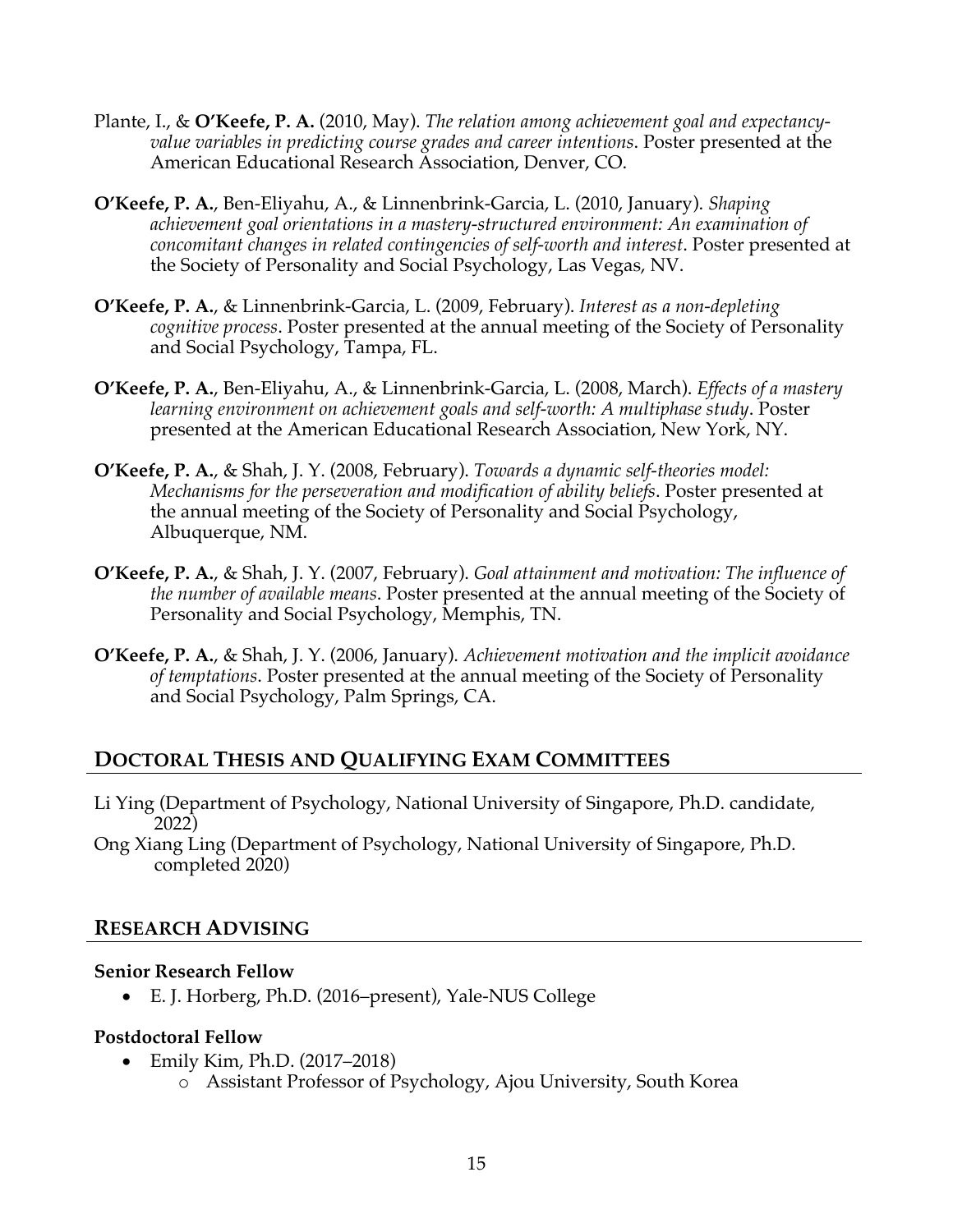- Plante, I., & **O'Keefe, P. A.** (2010, May). *The relation among achievement goal and expectancyvalue variables in predicting course grades and career intentions*. Poster presented at the American Educational Research Association, Denver, CO.
- **O'Keefe, P. A.**, Ben-Eliyahu, A., & Linnenbrink-Garcia, L. (2010, January). *Shaping achievement goal orientations in a mastery-structured environment: An examination of concomitant changes in related contingencies of self-worth and interest*. Poster presented at the Society of Personality and Social Psychology, Las Vegas, NV.
- **O'Keefe, P. A.**, & Linnenbrink-Garcia, L. (2009, February). *Interest as a non-depleting cognitive process*. Poster presented at the annual meeting of the Society of Personality and Social Psychology, Tampa, FL.
- **O'Keefe, P. A.**, Ben-Eliyahu, A., & Linnenbrink-Garcia, L. (2008, March). *Effects of a mastery learning environment on achievement goals and self-worth: A multiphase study*. Poster presented at the American Educational Research Association, New York, NY.
- **O'Keefe, P. A.**, & Shah, J. Y. (2008, February). *Towards a dynamic self-theories model: Mechanisms for the perseveration and modification of ability beliefs*. Poster presented at the annual meeting of the Society of Personality and Social Psychology, Albuquerque, NM.
- **O'Keefe, P. A.**, & Shah, J. Y. (2007, February). *Goal attainment and motivation: The influence of the number of available means*. Poster presented at the annual meeting of the Society of Personality and Social Psychology, Memphis, TN.
- **O'Keefe, P. A.**, & Shah, J. Y. (2006, January). *Achievement motivation and the implicit avoidance of temptations*. Poster presented at the annual meeting of the Society of Personality and Social Psychology, Palm Springs, CA.

# **DOCTORAL THESIS AND QUALIFYING EXAM COMMITTEES**

- Li Ying (Department of Psychology, National University of Singapore, Ph.D. candidate, 2022)
- Ong Xiang Ling (Department of Psychology, National University of Singapore, Ph.D. completed 2020)

## **RESEARCH ADVISING**

#### **Senior Research Fellow**

• E. J. Horberg, Ph.D. (2016–present), Yale-NUS College

## **Postdoctoral Fellow**

- Emily Kim, Ph.D. (2017–2018)
	- o Assistant Professor of Psychology, Ajou University, South Korea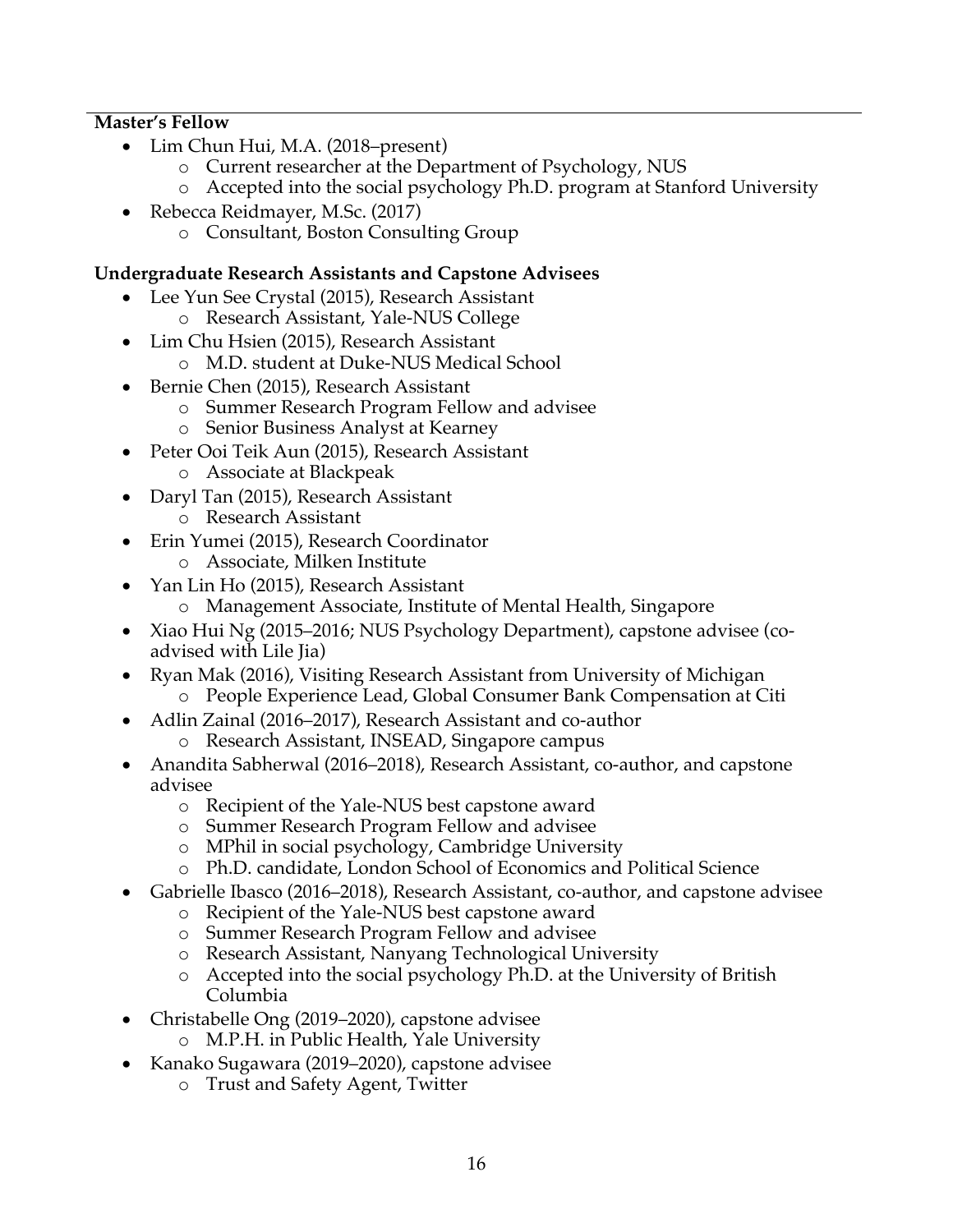## **Master's Fellow**

- Lim Chun Hui, M.A. (2018–present)
	- o Current researcher at the Department of Psychology, NUS
	- o Accepted into the social psychology Ph.D. program at Stanford University
- Rebecca Reidmayer, M.Sc. (2017)
	- o Consultant, Boston Consulting Group

#### **Undergraduate Research Assistants and Capstone Advisees**

- Lee Yun See Crystal (2015), Research Assistant
	- o Research Assistant, Yale-NUS College
- Lim Chu Hsien (2015), Research Assistant
	- o M.D. student at Duke-NUS Medical School
- Bernie Chen (2015), Research Assistant
	- o Summer Research Program Fellow and advisee
		- o Senior Business Analyst at Kearney
- Peter Ooi Teik Aun (2015), Research Assistant
	- o Associate at Blackpeak
- Daryl Tan (2015), Research Assistant
	- o Research Assistant
- Erin Yumei (2015), Research Coordinator
	- o Associate, Milken Institute
	- Yan Lin Ho (2015), Research Assistant
		- o Management Associate, Institute of Mental Health, Singapore
- Xiao Hui Ng (2015–2016; NUS Psychology Department), capstone advisee (coadvised with Lile Jia)
- Ryan Mak (2016), Visiting Research Assistant from University of Michigan
	- o People Experience Lead, Global Consumer Bank Compensation at Citi
- Adlin Zainal (2016–2017), Research Assistant and co-author o Research Assistant, INSEAD, Singapore campus
- Anandita Sabherwal (2016–2018), Research Assistant, co-author, and capstone advisee
	- o Recipient of the Yale-NUS best capstone award
	- o Summer Research Program Fellow and advisee
	- o MPhil in social psychology, Cambridge University
	- o Ph.D. candidate, London School of Economics and Political Science
- Gabrielle Ibasco (2016–2018), Research Assistant, co-author, and capstone advisee
	- o Recipient of the Yale-NUS best capstone award
	- o Summer Research Program Fellow and advisee
	- o Research Assistant, Nanyang Technological University
	- o Accepted into the social psychology Ph.D. at the University of British Columbia
- Christabelle Ong (2019–2020), capstone advisee
	- o M.P.H. in Public Health, Yale University
- Kanako Sugawara (2019–2020), capstone advisee
	- o Trust and Safety Agent, Twitter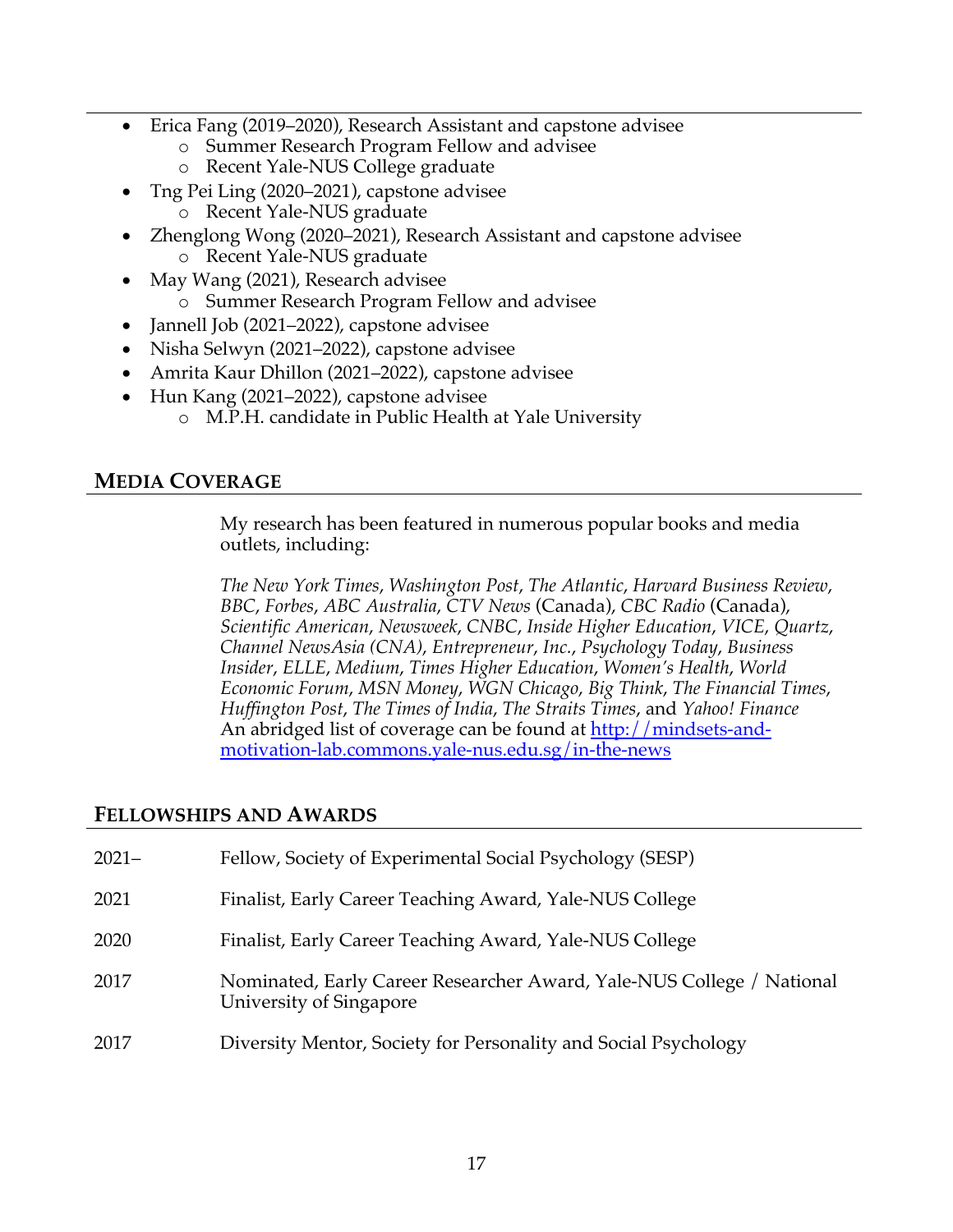- Erica Fang (2019–2020), Research Assistant and capstone advisee
	- o Summer Research Program Fellow and advisee
	- o Recent Yale-NUS College graduate
- Tng Pei Ling (2020–2021), capstone advisee
	- o Recent Yale-NUS graduate
- Zhenglong Wong (2020–2021), Research Assistant and capstone advisee o Recent Yale-NUS graduate
- May Wang (2021), Research advisee
	- o Summer Research Program Fellow and advisee
- Jannell Job (2021–2022), capstone advisee
- Nisha Selwyn (2021–2022), capstone advisee
- Amrita Kaur Dhillon (2021–2022), capstone advisee
- Hun Kang (2021–2022), capstone advisee
	- o M.P.H. candidate in Public Health at Yale University

# **MEDIA COVERAGE**

My research has been featured in numerous popular books and media outlets, including:

*The New York Times*, *Washington Post*, *The Atlantic*, *Harvard Business Review*, *BBC*, *Forbes*, *ABC Australia*, *CTV News* (Canada), *CBC Radio* (Canada), *Scientific American*, *Newsweek*, *CNBC*, *Inside Higher Education*, *VICE*, *Quartz*, *Channel NewsAsia (CNA)*, *Entrepreneur*, *Inc.*, *Psychology Today*, *Business Insider*, *ELLE*, *Medium*, *Times Higher Education*, *Women's Health*, *World Economic Forum*, *MSN Money*, *WGN Chicago*, *Big Think*, *The Financial Times*, *Huffington Post*, *The Times of India*, *The Straits Times*, and *Yahoo! Finance* An abridged list of coverage can be found at http://mindsets-andmotivation-lab.commons.yale-nus.edu.sg/in-the-news

# **FELLOWSHIPS AND AWARDS**

| $2021 -$ | Fellow, Society of Experimental Social Psychology (SESP)                                         |
|----------|--------------------------------------------------------------------------------------------------|
| 2021     | Finalist, Early Career Teaching Award, Yale-NUS College                                          |
| 2020     | Finalist, Early Career Teaching Award, Yale-NUS College                                          |
| 2017     | Nominated, Early Career Researcher Award, Yale-NUS College / National<br>University of Singapore |
| 2017     | Diversity Mentor, Society for Personality and Social Psychology                                  |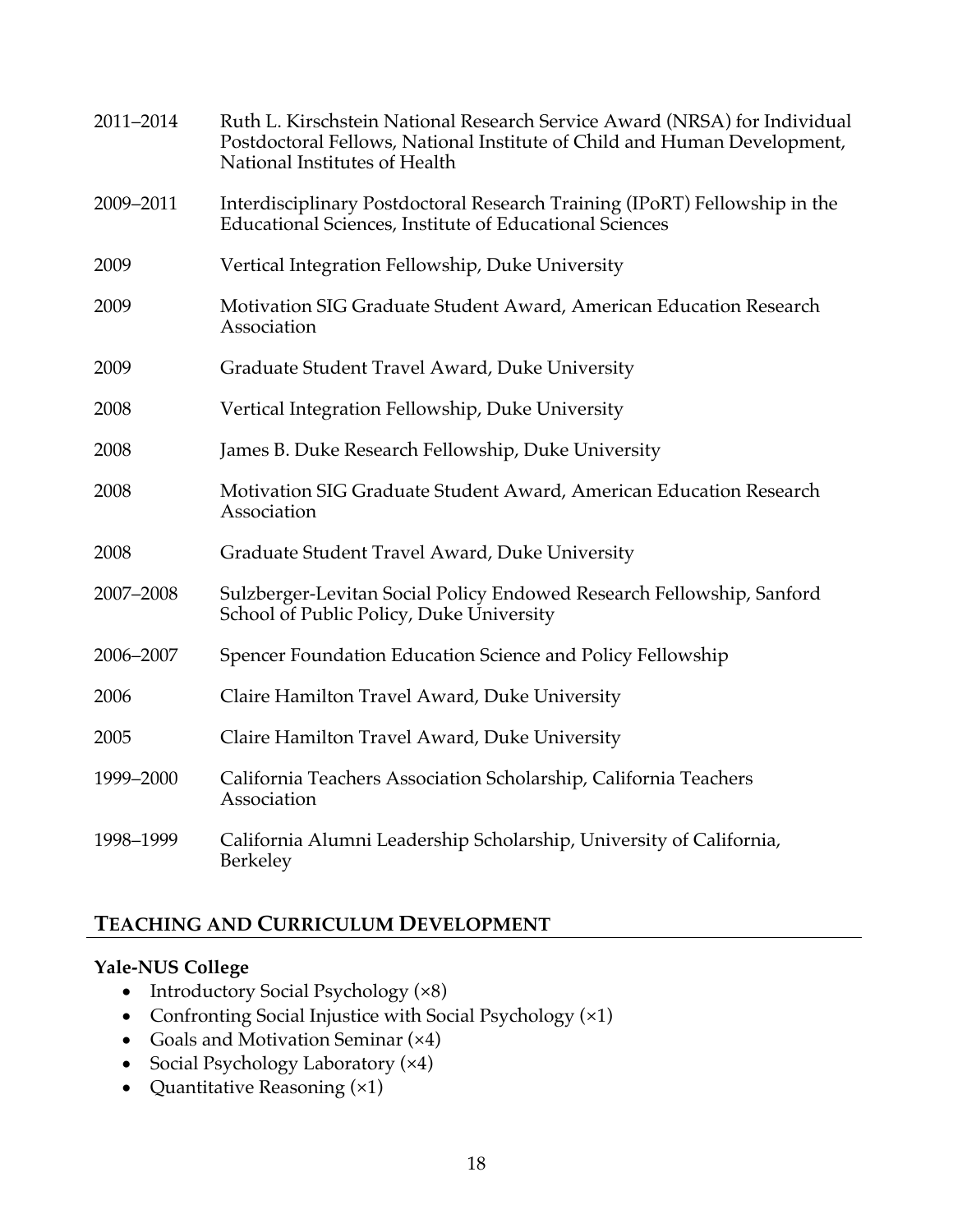| 2011-2014 | Ruth L. Kirschstein National Research Service Award (NRSA) for Individual<br>Postdoctoral Fellows, National Institute of Child and Human Development,<br>National Institutes of Health |
|-----------|----------------------------------------------------------------------------------------------------------------------------------------------------------------------------------------|
| 2009-2011 | Interdisciplinary Postdoctoral Research Training (IPoRT) Fellowship in the<br><b>Educational Sciences, Institute of Educational Sciences</b>                                           |
| 2009      | Vertical Integration Fellowship, Duke University                                                                                                                                       |
| 2009      | Motivation SIG Graduate Student Award, American Education Research<br>Association                                                                                                      |
| 2009      | Graduate Student Travel Award, Duke University                                                                                                                                         |
| 2008      | Vertical Integration Fellowship, Duke University                                                                                                                                       |
| 2008      | James B. Duke Research Fellowship, Duke University                                                                                                                                     |
| 2008      | Motivation SIG Graduate Student Award, American Education Research<br>Association                                                                                                      |
| 2008      | Graduate Student Travel Award, Duke University                                                                                                                                         |
| 2007-2008 | Sulzberger-Levitan Social Policy Endowed Research Fellowship, Sanford<br>School of Public Policy, Duke University                                                                      |
| 2006-2007 | Spencer Foundation Education Science and Policy Fellowship                                                                                                                             |
| 2006      | Claire Hamilton Travel Award, Duke University                                                                                                                                          |
| 2005      | Claire Hamilton Travel Award, Duke University                                                                                                                                          |
| 1999-2000 | California Teachers Association Scholarship, California Teachers<br>Association                                                                                                        |
| 1998-1999 | California Alumni Leadership Scholarship, University of California,<br>Berkeley                                                                                                        |

# **TEACHING AND CURRICULUM DEVELOPMENT**

## **Yale-NUS College**

- Introductory Social Psychology (×8)
- Confronting Social Injustice with Social Psychology (×1)
- Goals and Motivation Seminar (×4)
- Social Psychology Laboratory (×4)
- Quantitative Reasoning (×1)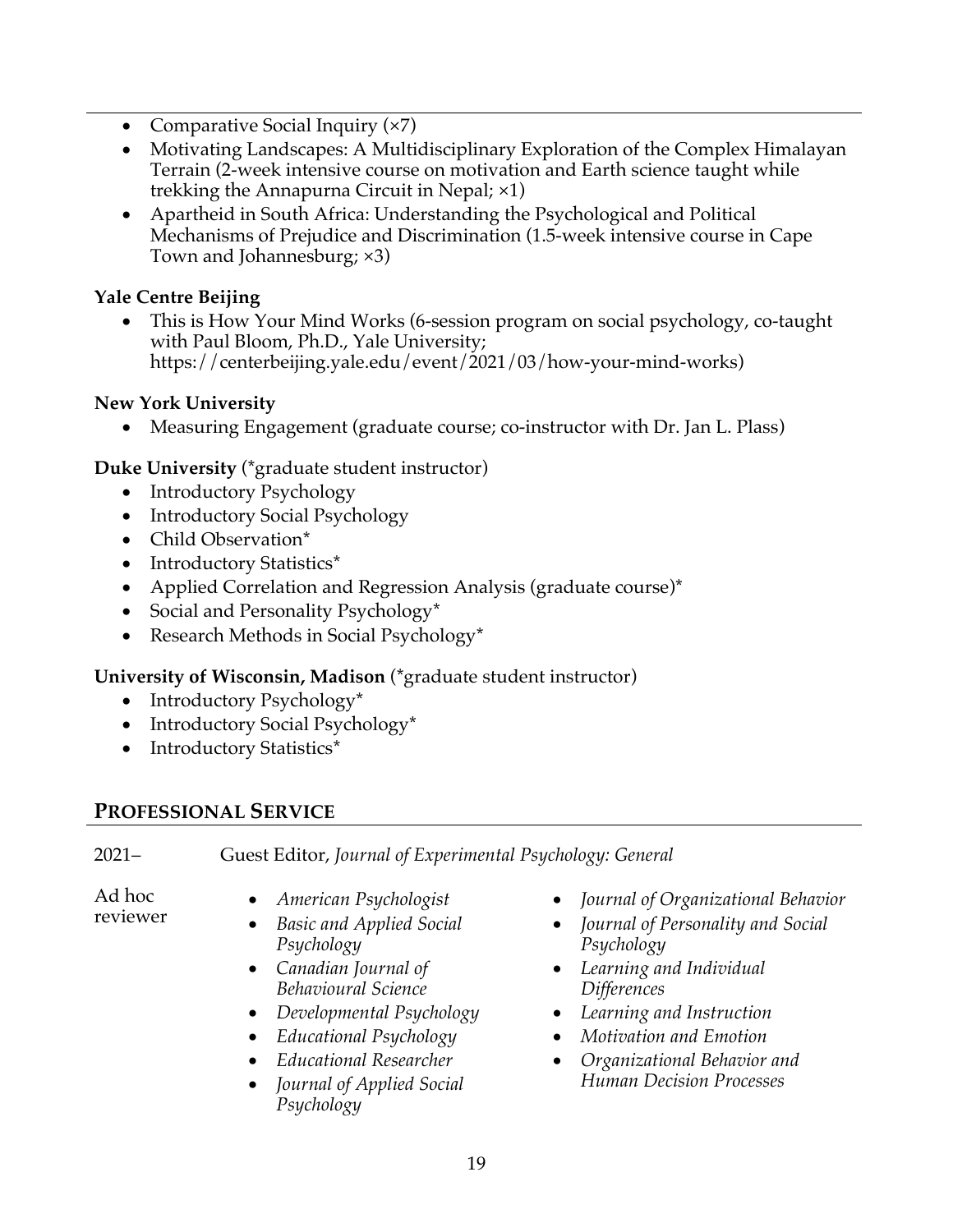- Comparative Social Inquiry (×7)
- Motivating Landscapes: A Multidisciplinary Exploration of the Complex Himalayan Terrain (2-week intensive course on motivation and Earth science taught while trekking the Annapurna Circuit in Nepal; ×1)
- Apartheid in South Africa: Understanding the Psychological and Political Mechanisms of Prejudice and Discrimination (1.5-week intensive course in Cape Town and Johannesburg; ×3)

# **Yale Centre Beijing**

• This is How Your Mind Works (6-session program on social psychology, co-taught with Paul Bloom, Ph.D., Yale University; https://centerbeijing.yale.edu/event/2021/03/how-your-mind-works)

# **New York University**

• Measuring Engagement (graduate course; co-instructor with Dr. Jan L. Plass)

**Duke University** (\*graduate student instructor)

- Introductory Psychology
- Introductory Social Psychology
- Child Observation\*
- Introductory Statistics\*
- Applied Correlation and Regression Analysis (graduate course)\*
- Social and Personality Psychology\*
- Research Methods in Social Psychology\*

# **University of Wisconsin, Madison** (\*graduate student instructor)

- Introductory Psychology\*
- Introductory Social Psychology\*
- Introductory Statistics\*

# **PROFESSIONAL SERVICE**

2021– Guest Editor, *Journal of Experimental Psychology: General*

Ad hoc

- Ad hoc *American Psychologist*<br>reviewer *Paris and America* Cosis
	- *Basic and Applied Social Psychology*
	- *Canadian Journal of Behavioural Science*
	- *Developmental Psychology*
	- *Educational Psychology*
	- *Educational Researcher*
	- *Journal of Applied Social Psychology*
- *Journal of Organizational Behavior*
- *Journal of Personality and Social Psychology*
- *Learning and Individual Differences*
- *Learning and Instruction*
- *Motivation and Emotion*
- *Organizational Behavior and Human Decision Processes*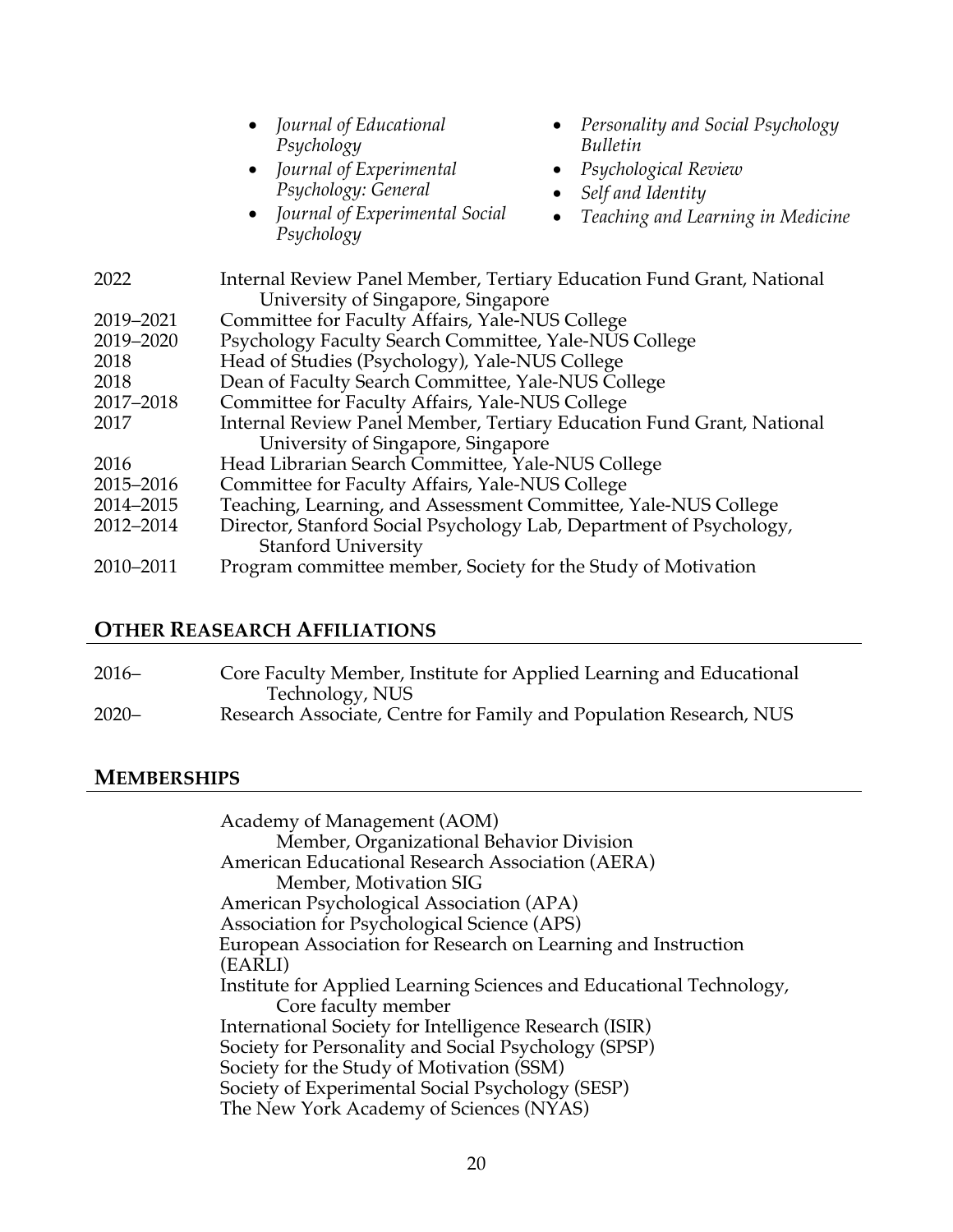|           | • Journal of Educational<br>• Personality and Social Psychology<br>Psychology<br>Bulletin<br>• Journal of Experimental<br>Psychological Review<br>$\bullet$<br>Psychology: General<br>Self and Identity<br>$\bullet$<br>• Journal of Experimental Social<br>Teaching and Learning in Medicine<br>$\bullet$<br>Psychology |
|-----------|--------------------------------------------------------------------------------------------------------------------------------------------------------------------------------------------------------------------------------------------------------------------------------------------------------------------------|
| 2022      | Internal Review Panel Member, Tertiary Education Fund Grant, National<br>University of Singapore, Singapore                                                                                                                                                                                                              |
| 2019-2021 | Committee for Faculty Affairs, Yale-NUS College                                                                                                                                                                                                                                                                          |
| 2019-2020 | Psychology Faculty Search Committee, Yale-NUS College                                                                                                                                                                                                                                                                    |
| 2018      | Head of Studies (Psychology), Yale-NUS College                                                                                                                                                                                                                                                                           |
| 2018      | Dean of Faculty Search Committee, Yale-NUS College                                                                                                                                                                                                                                                                       |
| 2017-2018 | Committee for Faculty Affairs, Yale-NUS College                                                                                                                                                                                                                                                                          |
| 2017      | Internal Review Panel Member, Tertiary Education Fund Grant, National                                                                                                                                                                                                                                                    |
|           | University of Singapore, Singapore                                                                                                                                                                                                                                                                                       |
| 2016      | Head Librarian Search Committee, Yale-NUS College                                                                                                                                                                                                                                                                        |
| 2015–2016 | Committee for Faculty Affairs, Yale-NUS College                                                                                                                                                                                                                                                                          |
| 2014-2015 | Teaching, Learning, and Assessment Committee, Yale-NUS College                                                                                                                                                                                                                                                           |
| 2012-2014 | Director, Stanford Social Psychology Lab, Department of Psychology,<br><b>Stanford University</b>                                                                                                                                                                                                                        |
| 2010-2011 | Program committee member, Society for the Study of Motivation                                                                                                                                                                                                                                                            |

#### **OTHER REASEARCH AFFILIATIONS**

| $2016-$  | Core Faculty Member, Institute for Applied Learning and Educational |
|----------|---------------------------------------------------------------------|
|          | Technology, NUS                                                     |
| $2020 -$ | Research Associate, Centre for Family and Population Research, NUS  |

## **MEMBERSHIPS**

Academy of Management (AOM) Member, Organizational Behavior Division American Educational Research Association (AERA) Member, Motivation SIG American Psychological Association (APA) Association for Psychological Science (APS) European Association for Research on Learning and Instruction (EARLI) Institute for Applied Learning Sciences and Educational Technology, Core faculty member International Society for Intelligence Research (ISIR) Society for Personality and Social Psychology (SPSP) Society for the Study of Motivation (SSM) Society of Experimental Social Psychology (SESP) The New York Academy of Sciences (NYAS)